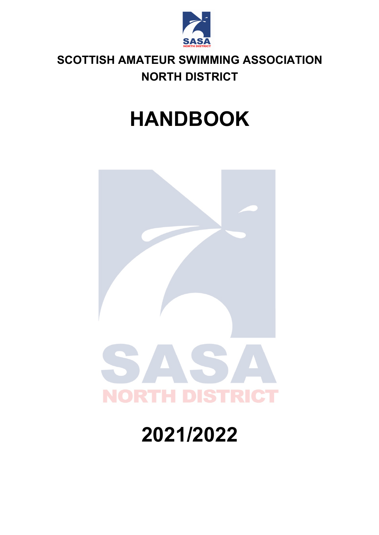

## **SCOTTISH AMATEUR SWIMMING ASSOCIATION NORTH DISTRICT**

# **HANDBOOK**



# **2021/2022**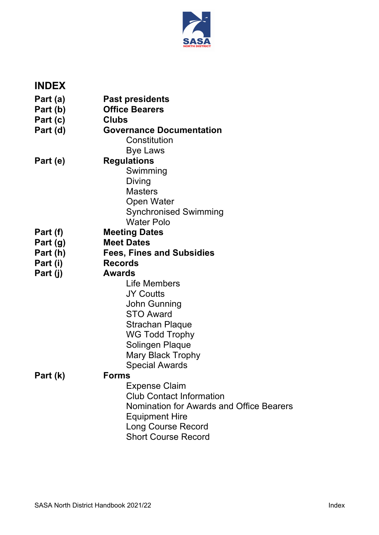

| Part (a)<br><b>Past presidents</b><br>Part (b)<br><b>Office Bearers</b><br><b>Clubs</b><br>Part (c)<br><b>Governance Documentation</b><br>Part (d)<br>Constitution<br><b>Bye Laws</b><br><b>Regulations</b><br>Part (e)<br>Swimming<br>Diving<br><b>Masters</b><br><b>Open Water</b><br><b>Synchronised Swimming</b><br><b>Water Polo</b><br><b>Meeting Dates</b><br>Part (f)<br><b>Meet Dates</b><br>Part (g)<br><b>Fees, Fines and Subsidies</b><br>Part (h)<br><b>Records</b><br>Part (i)<br>Part (j)<br><b>Awards</b><br>Life Members<br><b>JY Coutts</b><br>John Gunning<br><b>STO Award</b><br><b>Strachan Plaque</b><br><b>WG Todd Trophy</b><br>Solingen Plaque<br>Mary Black Trophy<br><b>Special Awards</b><br><b>Forms</b><br>Part (k)<br><b>Expense Claim</b><br><b>Club Contact Information</b><br>Nomination for Awards and Office Bearers<br><b>Equipment Hire</b><br><b>Long Course Record</b> | <b>INDEX</b> |                            |
|----------------------------------------------------------------------------------------------------------------------------------------------------------------------------------------------------------------------------------------------------------------------------------------------------------------------------------------------------------------------------------------------------------------------------------------------------------------------------------------------------------------------------------------------------------------------------------------------------------------------------------------------------------------------------------------------------------------------------------------------------------------------------------------------------------------------------------------------------------------------------------------------------------------|--------------|----------------------------|
|                                                                                                                                                                                                                                                                                                                                                                                                                                                                                                                                                                                                                                                                                                                                                                                                                                                                                                                |              |                            |
|                                                                                                                                                                                                                                                                                                                                                                                                                                                                                                                                                                                                                                                                                                                                                                                                                                                                                                                |              |                            |
|                                                                                                                                                                                                                                                                                                                                                                                                                                                                                                                                                                                                                                                                                                                                                                                                                                                                                                                |              |                            |
|                                                                                                                                                                                                                                                                                                                                                                                                                                                                                                                                                                                                                                                                                                                                                                                                                                                                                                                |              |                            |
|                                                                                                                                                                                                                                                                                                                                                                                                                                                                                                                                                                                                                                                                                                                                                                                                                                                                                                                |              |                            |
|                                                                                                                                                                                                                                                                                                                                                                                                                                                                                                                                                                                                                                                                                                                                                                                                                                                                                                                |              |                            |
|                                                                                                                                                                                                                                                                                                                                                                                                                                                                                                                                                                                                                                                                                                                                                                                                                                                                                                                |              |                            |
|                                                                                                                                                                                                                                                                                                                                                                                                                                                                                                                                                                                                                                                                                                                                                                                                                                                                                                                |              |                            |
|                                                                                                                                                                                                                                                                                                                                                                                                                                                                                                                                                                                                                                                                                                                                                                                                                                                                                                                |              |                            |
|                                                                                                                                                                                                                                                                                                                                                                                                                                                                                                                                                                                                                                                                                                                                                                                                                                                                                                                |              |                            |
|                                                                                                                                                                                                                                                                                                                                                                                                                                                                                                                                                                                                                                                                                                                                                                                                                                                                                                                |              |                            |
|                                                                                                                                                                                                                                                                                                                                                                                                                                                                                                                                                                                                                                                                                                                                                                                                                                                                                                                |              |                            |
|                                                                                                                                                                                                                                                                                                                                                                                                                                                                                                                                                                                                                                                                                                                                                                                                                                                                                                                |              |                            |
|                                                                                                                                                                                                                                                                                                                                                                                                                                                                                                                                                                                                                                                                                                                                                                                                                                                                                                                |              |                            |
|                                                                                                                                                                                                                                                                                                                                                                                                                                                                                                                                                                                                                                                                                                                                                                                                                                                                                                                |              |                            |
|                                                                                                                                                                                                                                                                                                                                                                                                                                                                                                                                                                                                                                                                                                                                                                                                                                                                                                                |              |                            |
|                                                                                                                                                                                                                                                                                                                                                                                                                                                                                                                                                                                                                                                                                                                                                                                                                                                                                                                |              |                            |
|                                                                                                                                                                                                                                                                                                                                                                                                                                                                                                                                                                                                                                                                                                                                                                                                                                                                                                                |              |                            |
|                                                                                                                                                                                                                                                                                                                                                                                                                                                                                                                                                                                                                                                                                                                                                                                                                                                                                                                |              |                            |
|                                                                                                                                                                                                                                                                                                                                                                                                                                                                                                                                                                                                                                                                                                                                                                                                                                                                                                                |              |                            |
|                                                                                                                                                                                                                                                                                                                                                                                                                                                                                                                                                                                                                                                                                                                                                                                                                                                                                                                |              |                            |
|                                                                                                                                                                                                                                                                                                                                                                                                                                                                                                                                                                                                                                                                                                                                                                                                                                                                                                                |              |                            |
|                                                                                                                                                                                                                                                                                                                                                                                                                                                                                                                                                                                                                                                                                                                                                                                                                                                                                                                |              |                            |
|                                                                                                                                                                                                                                                                                                                                                                                                                                                                                                                                                                                                                                                                                                                                                                                                                                                                                                                |              |                            |
|                                                                                                                                                                                                                                                                                                                                                                                                                                                                                                                                                                                                                                                                                                                                                                                                                                                                                                                |              |                            |
|                                                                                                                                                                                                                                                                                                                                                                                                                                                                                                                                                                                                                                                                                                                                                                                                                                                                                                                |              |                            |
|                                                                                                                                                                                                                                                                                                                                                                                                                                                                                                                                                                                                                                                                                                                                                                                                                                                                                                                |              |                            |
|                                                                                                                                                                                                                                                                                                                                                                                                                                                                                                                                                                                                                                                                                                                                                                                                                                                                                                                |              |                            |
|                                                                                                                                                                                                                                                                                                                                                                                                                                                                                                                                                                                                                                                                                                                                                                                                                                                                                                                |              |                            |
|                                                                                                                                                                                                                                                                                                                                                                                                                                                                                                                                                                                                                                                                                                                                                                                                                                                                                                                |              |                            |
|                                                                                                                                                                                                                                                                                                                                                                                                                                                                                                                                                                                                                                                                                                                                                                                                                                                                                                                |              |                            |
|                                                                                                                                                                                                                                                                                                                                                                                                                                                                                                                                                                                                                                                                                                                                                                                                                                                                                                                |              |                            |
|                                                                                                                                                                                                                                                                                                                                                                                                                                                                                                                                                                                                                                                                                                                                                                                                                                                                                                                |              | <b>Short Course Record</b> |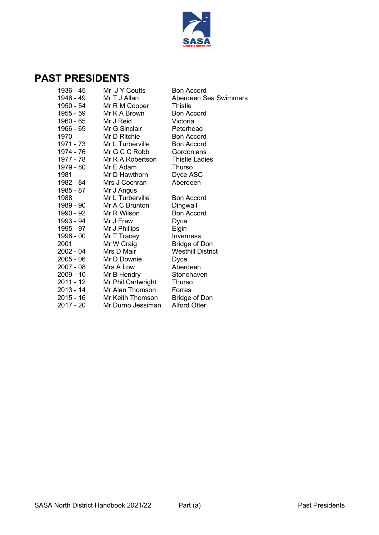

### **PAST PRESIDENTS**

| 1936 - 45<br>1946 - 49 | Mr J Y Coutts<br>Mr T J Allan | Bon Accord<br>Aberdeen Sea Swimmers |
|------------------------|-------------------------------|-------------------------------------|
| 1950 - 54              |                               | Thistle                             |
| 1955 - 59              | Mr R M Cooper<br>Mr K A Brown | <b>Bon Accord</b>                   |
| 1960 - 65              |                               |                                     |
| 1966 - 69              | Mr J Reid<br>Mr G Sinclair    | Victoria<br>Peterhead               |
| 1970                   | Mr D Ritchie                  | <b>Bon Accord</b>                   |
| 1971 - 73              | Mr L Turberville              | <b>Bon Accord</b>                   |
|                        | Mr G C C Robb                 | Gordonians                          |
| 1974 - 76<br>1977 - 78 |                               | <b>Thistle Ladies</b>               |
| 1979 - 80              | Mr R A Robertson              |                                     |
|                        | Mr E Adam<br>Mr D Hawthorn    | Thurso                              |
| 1981                   | Mrs J Cochran                 | Dyce ASC<br>Aberdeen                |
| 1982 - 84              |                               |                                     |
| 1985 - 87              | Mr J Angus                    |                                     |
| 1988                   | Mr L Turberville              | Bon Accord                          |
| 1989 - 90              | Mr A C Brunton                | Dingwall                            |
| 1990 - 92              | Mr R Wilson                   | <b>Bon Accord</b>                   |
| 1993 - 94              | Mr J Frew                     | Dyce                                |
| 1995 - 97              | Mr J Phillips                 | Elgin                               |
| 1998 - 00              | Mr T Tracey                   | Inverness                           |
| 2001                   | Mr W Craig                    | <b>Bridge of Don</b>                |
| 2002 - 04              | Mrs D Mair                    | <b>Westhill District</b>            |
| $2005 - 06$            | Mr D Downie                   | Dyce                                |
| 2007 - 08              | Mrs A Low                     | Aberdeen                            |
| 2009 - 10              | Mr B Hendry                   | Stonehaven                          |
| 2011 - 12              | Mr Phil Cartwright            | Thurso                              |
| 2013 - 14              | Mr Alan Thomson               | Forres                              |
| 2015 - 16              | Mr Keith Thomson              | <b>Bridge of Don</b>                |
| 2017 - 20              | Mr Durno Jessiman             | <b>Alford Otter</b>                 |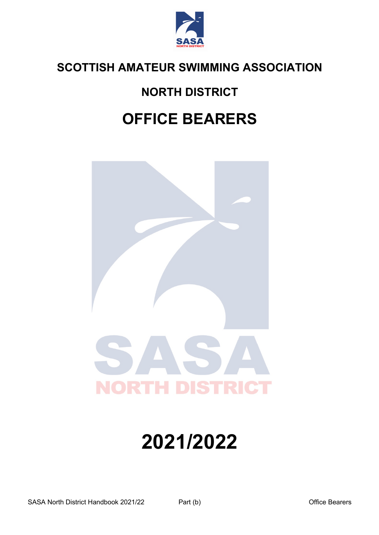

## **NORTH DISTRICT**

## **OFFICE BEARERS**



# **2021/2022**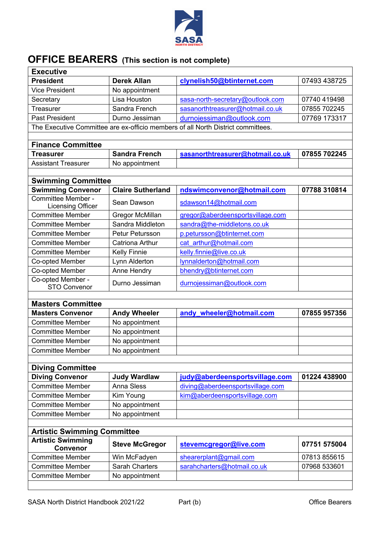

## **OFFICE BEARERS (This section is not complete)**

| <b>Executive</b>                                               |                                                  |                                                                                  |              |  |  |
|----------------------------------------------------------------|--------------------------------------------------|----------------------------------------------------------------------------------|--------------|--|--|
| <b>President</b>                                               | <b>Derek Allan</b>                               | clynelish50@btinternet.com                                                       | 07493 438725 |  |  |
| <b>Vice President</b>                                          | No appointment                                   |                                                                                  |              |  |  |
| Secretary                                                      | Lisa Houston                                     | sasa-north-secretary@outlook.com                                                 | 07740 419498 |  |  |
| Treasurer                                                      | Sandra French                                    | sasanorthtreasurer@hotmail.co.uk                                                 | 07855 702245 |  |  |
| <b>Past President</b>                                          | Durno Jessiman                                   | durnojessiman@outlook.com                                                        | 07769 173317 |  |  |
|                                                                |                                                  | The Executive Committee are ex-officio members of all North District committees. |              |  |  |
|                                                                |                                                  |                                                                                  |              |  |  |
| <b>Finance Committee</b>                                       |                                                  |                                                                                  |              |  |  |
| <b>Treasurer</b>                                               | <b>Sandra French</b>                             | sasanorthtreasurer@hotmail.co.uk                                                 | 07855 702245 |  |  |
| <b>Assistant Treasurer</b>                                     | No appointment                                   |                                                                                  |              |  |  |
| <b>Swimming Committee</b>                                      |                                                  |                                                                                  |              |  |  |
| <b>Swimming Convenor</b>                                       | <b>Claire Sutherland</b>                         | ndswimconvenor@hotmail.com                                                       | 07788 310814 |  |  |
| Committee Member -                                             |                                                  |                                                                                  |              |  |  |
| <b>Licensing Officer</b>                                       | Sean Dawson                                      | sdawson14@hotmail.com                                                            |              |  |  |
| <b>Committee Member</b>                                        | Gregor McMillan                                  | gregor@aberdeensportsvillage.com                                                 |              |  |  |
| <b>Committee Member</b>                                        | Sandra Middleton                                 | sandra@the-middletons.co.uk                                                      |              |  |  |
| <b>Committee Member</b>                                        | Petur Petursson                                  | p.petursson@btinternet.com                                                       |              |  |  |
| <b>Committee Member</b>                                        | cat arthur@hotmail.com<br><b>Catriona Arthur</b> |                                                                                  |              |  |  |
| <b>Committee Member</b>                                        | <b>Kelly Finnie</b><br>kelly.finnie@live.co.uk   |                                                                                  |              |  |  |
| Co-opted Member                                                | Lynn Alderton                                    | lynnalderton@hotmail.com                                                         |              |  |  |
| Co-opted Member                                                | Anne Hendry                                      | bhendry@btinternet.com                                                           |              |  |  |
| Co-opted Member -<br><b>STO Convenor</b>                       | Durno Jessiman                                   | durnojessiman@outlook.com                                                        |              |  |  |
|                                                                |                                                  |                                                                                  |              |  |  |
| <b>Masters Committee</b>                                       |                                                  |                                                                                  |              |  |  |
| <b>Masters Convenor</b>                                        | <b>Andy Wheeler</b>                              | andy wheeler@hotmail.com                                                         | 07855 957356 |  |  |
| <b>Committee Member</b>                                        | No appointment                                   |                                                                                  |              |  |  |
| <b>Committee Member</b>                                        | No appointment                                   |                                                                                  |              |  |  |
| <b>Committee Member</b>                                        | No appointment                                   |                                                                                  |              |  |  |
| <b>Committee Member</b>                                        | No appointment                                   |                                                                                  |              |  |  |
|                                                                |                                                  |                                                                                  |              |  |  |
| <b>Diving Committee</b>                                        |                                                  |                                                                                  |              |  |  |
| <b>Diving Convenor</b>                                         | <b>Judy Wardlaw</b>                              | judy@aberdeensportsvillage.com                                                   | 01224 438900 |  |  |
| <b>Committee Member</b>                                        | Anna Sless                                       | diving@aberdeensportsvillage.com                                                 |              |  |  |
| <b>Committee Member</b>                                        | Kim Young                                        | kim@aberdeensportsvillage.com                                                    |              |  |  |
| <b>Committee Member</b>                                        | No appointment                                   |                                                                                  |              |  |  |
| <b>Committee Member</b>                                        | No appointment                                   |                                                                                  |              |  |  |
|                                                                |                                                  |                                                                                  |              |  |  |
| <b>Artistic Swimming Committee</b><br><b>Artistic Swimming</b> |                                                  |                                                                                  |              |  |  |
| <b>Convenor</b>                                                | <b>Steve McGregor</b>                            | stevemcgregor@live.com                                                           | 07751 575004 |  |  |
| <b>Committee Member</b>                                        | Win McFadyen                                     | shearerplant@gmail.com                                                           | 07813 855615 |  |  |
| <b>Committee Member</b>                                        | <b>Sarah Charters</b>                            | 07968 533601<br>sarahcharters@hotmail.co.uk                                      |              |  |  |
| <b>Committee Member</b>                                        | No appointment                                   |                                                                                  |              |  |  |
|                                                                |                                                  |                                                                                  |              |  |  |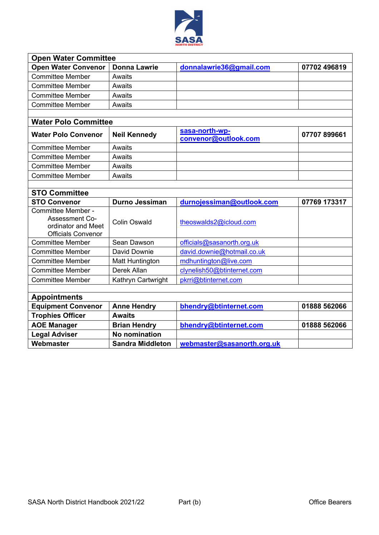

| <b>Open Water Committee</b>                                                                    |                         |                                        |              |
|------------------------------------------------------------------------------------------------|-------------------------|----------------------------------------|--------------|
| <b>Open Water Convenor</b>                                                                     | <b>Donna Lawrie</b>     | donnalawrie36@gmail.com                | 07702 496819 |
| <b>Committee Member</b>                                                                        | Awaits                  |                                        |              |
| <b>Committee Member</b>                                                                        | Awaits                  |                                        |              |
| <b>Committee Member</b>                                                                        | Awaits                  |                                        |              |
| <b>Committee Member</b>                                                                        | Awaits                  |                                        |              |
|                                                                                                |                         |                                        |              |
| <b>Water Polo Committee</b>                                                                    |                         |                                        |              |
| <b>Water Polo Convenor</b>                                                                     | <b>Neil Kennedy</b>     | sasa-north-wp-<br>convenor@outlook.com | 07707 899661 |
| <b>Committee Member</b>                                                                        | Awaits                  |                                        |              |
| <b>Committee Member</b>                                                                        | Awaits                  |                                        |              |
| <b>Committee Member</b>                                                                        | Awaits                  |                                        |              |
| <b>Committee Member</b>                                                                        | Awaits                  |                                        |              |
|                                                                                                |                         |                                        |              |
| <b>STO Committee</b>                                                                           |                         |                                        |              |
| <b>STO Convenor</b>                                                                            | <b>Durno Jessiman</b>   | durnojessiman@outlook.com              | 07769 173317 |
| Committee Member -<br><b>Assessment Co-</b><br>ordinator and Meet<br><b>Officials Convenor</b> | <b>Colin Oswald</b>     | theoswalds2@icloud.com                 |              |
| <b>Committee Member</b>                                                                        | Sean Dawson             | officials@sasanorth.org.uk             |              |
| <b>Committee Member</b>                                                                        | David Downie            | david.downie@hotmail.co.uk             |              |
| <b>Committee Member</b>                                                                        | <b>Matt Huntington</b>  | mdhuntington@live.com                  |              |
| <b>Committee Member</b>                                                                        | Derek Allan             | clynelish50@btinternet.com             |              |
| <b>Committee Member</b>                                                                        | Kathryn Cartwright      | pkrri@btinternet.com                   |              |
|                                                                                                |                         |                                        |              |
| <b>Appointments</b>                                                                            |                         |                                        |              |
| <b>Equipment Convenor</b>                                                                      | <b>Anne Hendry</b>      | bhendry@btinternet.com                 | 01888 562066 |
| <b>Trophies Officer</b>                                                                        | <b>Awaits</b>           |                                        |              |
| <b>AOE Manager</b>                                                                             | <b>Brian Hendry</b>     | bhendry@btinternet.com                 | 01888 562066 |
| <b>Legal Adviser</b>                                                                           | <b>No nomination</b>    |                                        |              |
| Webmaster                                                                                      | <b>Sandra Middleton</b> | webmaster@sasanorth.org.uk             |              |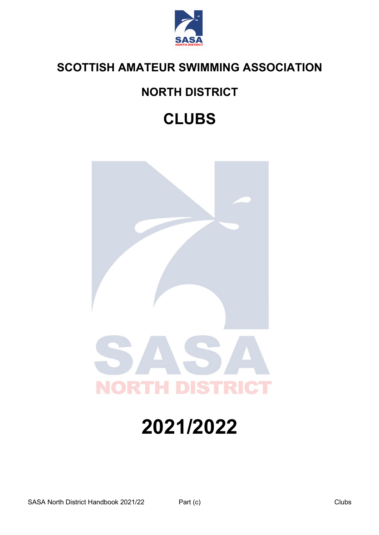

## **NORTH DISTRICT**

## **CLUBS**



# **2021/2022**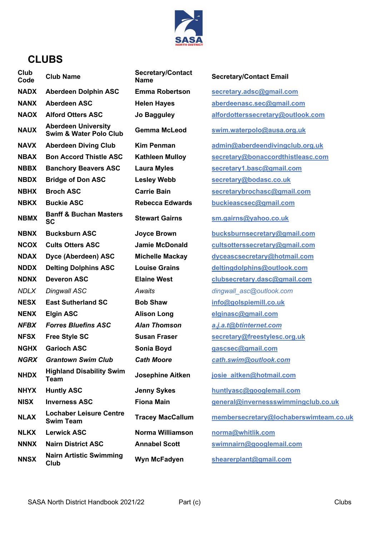

### **CLUBS**

| Club<br>Code | <b>Club Name</b>                                     | <b>Secretary/Contact</b><br><b>Name</b> | <b>Se</b>       |
|--------------|------------------------------------------------------|-----------------------------------------|-----------------|
| <b>NADX</b>  | <b>Aberdeen Dolphin ASC</b>                          | <b>Emma Robertson</b>                   | <u>se</u>       |
| <b>NANX</b>  | Aberdeen ASC                                         | <b>Helen Hayes</b>                      | <u>ab</u>       |
| <b>NAOX</b>  | <b>Alford Otters ASC</b>                             | Jo Bagguley                             | alf             |
| <b>NAUX</b>  | <b>Aberdeen University</b><br>Swim & Water Polo Club | Gemma McLeod                            | <u>SW</u>       |
| <b>NAVX</b>  | <b>Aberdeen Diving Club</b>                          | Kim Penman                              | <u>ad</u>       |
| <b>NBAX</b>  | <b>Bon Accord Thistle ASC</b>                        | <b>Kathleen Mulloy</b>                  | <u>se</u>       |
| <b>NBBX</b>  | <b>Banchory Beavers ASC</b>                          | <b>Laura Myles</b>                      | <u>se</u>       |
| <b>NBDX</b>  | <b>Bridge of Don ASC</b>                             | <b>Lesley Webb</b>                      | <u>se</u>       |
| <b>NBHX</b>  | <b>Broch ASC</b>                                     | <b>Carrie Bain</b>                      | <u>se</u>       |
| <b>NBKX</b>  | <b>Buckie ASC</b>                                    | <b>Rebecca Edwards</b>                  | <u>bu</u>       |
| <b>NBMX</b>  | <b>Banff &amp; Buchan Masters</b><br>SC              | <b>Stewart Gairns</b>                   | <u>sm</u>       |
| <b>NBNX</b>  | <b>Bucksburn ASC</b>                                 | <b>Joyce Brown</b>                      | <u>bu</u>       |
| <b>NCOX</b>  | <b>Cults Otters ASC</b>                              | <b>Jamie McDonald</b>                   | $cu$            |
| <b>NDAX</b>  | Dyce (Aberdeen) ASC                                  | <b>Michelle Mackay</b>                  | $\frac{dy}{dx}$ |
| <b>NDDX</b>  | <b>Delting Dolphins ASC</b>                          | <b>Louise Grains</b>                    | <u>de</u>       |
| <b>NDNX</b>  | <b>Deveron ASC</b>                                   | <b>Elaine West</b>                      | <u>clu</u>      |
| <b>NDLX</b>  | Dingwall ASC                                         | Awaits                                  | dir             |
| <b>NESX</b>  | <b>East Sutherland SC</b>                            | <b>Bob Shaw</b>                         | <u>inf</u>      |
| <b>NENX</b>  | <b>Elgin ASC</b>                                     | <b>Alison Long</b>                      | <u>elç</u>      |
| NFBX         | <b>Forres Bluefins ASC</b>                           | <b>Alan Thomson</b>                     | <u>a.j</u>      |
| <b>NFSX</b>  | <b>Free Style SC</b>                                 | <b>Susan Fraser</b>                     | <u>se</u>       |
| <b>NGHX</b>  | <b>Garioch ASC</b>                                   | Sonia Boyd                              | <u>ga</u>       |
| <b>NGRX</b>  | <b>Grantown Swim Club</b>                            | <b>Cath Moore</b>                       | <u>са</u>       |
| <b>NHDX</b>  | <b>Highland Disability Swim</b><br>Team              | <b>Josephine Aitken</b>                 | <u>ios</u>      |
| <b>NHYX</b>  | <b>Huntly ASC</b>                                    | <b>Jenny Sykes</b>                      | <u>hu</u>       |
| <b>NISX</b>  | <b>Inverness ASC</b>                                 | <b>Fiona Main</b>                       | <u>ge</u>       |
| <b>NLAX</b>  | <b>Lochaber Leisure Centre</b><br><b>Swim Team</b>   | <b>Tracey MacCallum</b>                 | $m$ $e$         |
| <b>NLKX</b>  | <b>Lerwick ASC</b>                                   | Norma Williamson                        | <u>no</u>       |
| <b>NNNX</b>  | <b>Nairn District ASC</b>                            | <b>Annabel Scott</b>                    | <u>SW</u>       |
| <b>NNSX</b>  | <b>Nairn Artistic Swimming</b><br>Club               | Wyn McFadyen                            | <u>sh</u>       |

#### **Rame Email**

**NADX Aberdeen Dolphin ASC Emma Robertson secretary.adsc@gmail.com Aberdeenasc.sec@gmail.com Manual Example 3 algebra A Swim & Water Polo Club Gemma McLeod swim.waterpolo@ausa.org.uk**  $\text{Im}\left(\frac{\partial u}{\partial x}\right)$  **Aberdeendivingclub.org.uk**  $\textbf{c}$  **retary@bonaccordthistleasc.com NBBX Banchory Beavers ASC Laura Myles secretary1.basc@gmail.com**  $c$  **retary@bodasc.co.uk NBHX Broch ASC Carrie Bain secretarybrochasc@gmail.com R R Buckies Buckies Buckies Buckies Buckies Buckies Buckies Buckies SC Stewart Gairns sm.gairns@yahoo.co.uk Roomana Bucksburn Secretary@gmail.com Htsotterssecretary@gmail.com Manual Exercisc Conducts Relations Relative Brandolphins @outlook.com NDIMIGHTS ELAINCIPS ELAINMENT COMPLEMENT COMPLEMENT COMPLEMENT COMPLEMENT COMPLEMENT COMPLEMENT COMPLEMENT COMPLEMENT COMPLEMENT COMPLEMENT COMPLEMENT COMPLEMENT COMPLEMENT COMPLEMENT COMPLEMENT COMPLEMENT COMPLEMENT** *NDLX Dingwall ASC Awaits dingwall\_asc@outlook.com* **NESX East Sutherland SC Bob Shaw info@golspiemill.co.uk NENX Elgin ASC Alison Long elginasc@gmail.com** *NFBX Forres Bluefins ASC Alan Thomson a.j.a.t@btinternet.com* **NFSX Free Style SC Susan Fraser secretary@freestylesc.org.uk Scsec@gmail.com** *NGRX Grantown Swim Club Cath Moore cath.swim@outlook.com* **Sie aitken@hotmail.com htlyasc@googlemail.com neral@invernessswimmingclub.co.uk Swim Team Tracey MacCallum membersecretary@lochaberswimteam.co.uk Mrma@whitlik.com**  $N$  **imnairn@googlemail.com Club Wyn McFadyen shearerplant@gmail.com**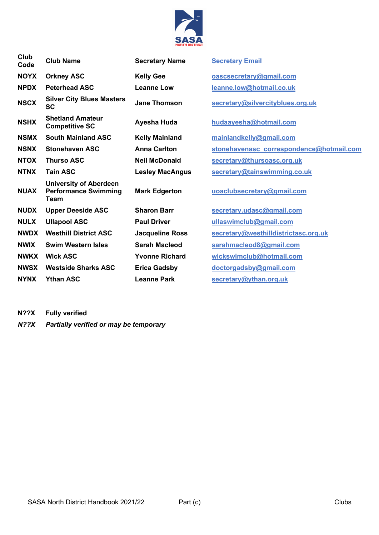

| Club<br>Code | <b>Club Name</b>                                                     | <b>Secretary Name</b>  | <b>Secretary Email</b>                   |
|--------------|----------------------------------------------------------------------|------------------------|------------------------------------------|
| <b>NOYX</b>  | <b>Orkney ASC</b>                                                    | <b>Kelly Gee</b>       | oascsecretary@gmail.com                  |
| <b>NPDX</b>  | <b>Peterhead ASC</b>                                                 | <b>Leanne Low</b>      | leanne.low@hotmail.co.uk                 |
| <b>NSCX</b>  | <b>Silver City Blues Masters</b><br><b>SC</b>                        | <b>Jane Thomson</b>    | secretary@silvercityblues.org.uk         |
| <b>NSHX</b>  | <b>Shetland Amateur</b><br><b>Competitive SC</b>                     | Ayesha Huda            | hudaayesha@hotmail.com                   |
| <b>NSMX</b>  | <b>South Mainland ASC</b>                                            | <b>Kelly Mainland</b>  | mainlandkelly@gmail.com                  |
| <b>NSNX</b>  | <b>Stonehaven ASC</b>                                                | <b>Anna Carlton</b>    | stonehavenasc correspondence@hotmail.com |
| <b>NTOX</b>  | <b>Thurso ASC</b>                                                    | <b>Neil McDonald</b>   | secretary@thursoasc.org.uk               |
| <b>NTNX</b>  | <b>Tain ASC</b>                                                      | <b>Lesley MacAngus</b> | secretary@tainswimming.co.uk             |
| <b>NUAX</b>  | <b>University of Aberdeen</b><br><b>Performance Swimming</b><br>Team | <b>Mark Edgerton</b>   | uoaclubsecretary@gmail.com               |
| <b>NUDX</b>  | <b>Upper Deeside ASC</b>                                             | <b>Sharon Barr</b>     | secretary.udasc@gmail.com                |
| <b>NULX</b>  | <b>Ullapool ASC</b>                                                  | <b>Paul Driver</b>     | ullaswimclub@gmail.com                   |
| <b>NWDX</b>  | <b>Westhill District ASC</b>                                         | <b>Jacqueline Ross</b> | secretary@westhilldistrictasc.org.uk     |
| <b>NWIX</b>  | <b>Swim Western Isles</b>                                            | <b>Sarah Macleod</b>   | sarahmacleod8@gmail.com                  |
| <b>NWKX</b>  | <b>Wick ASC</b>                                                      | <b>Yvonne Richard</b>  | wickswimclub@hotmail.com                 |
| <b>NWSX</b>  | <b>Westside Sharks ASC</b>                                           | <b>Erica Gadsby</b>    | doctorgadsby@gmail.com                   |
| <b>NYNX</b>  | <b>Ythan ASC</b>                                                     | <b>Leanne Park</b>     | secretary@ythan.org.uk                   |
|              |                                                                      |                        |                                          |

**N??X Fully verified** *N??X Partially verified or may be temporary*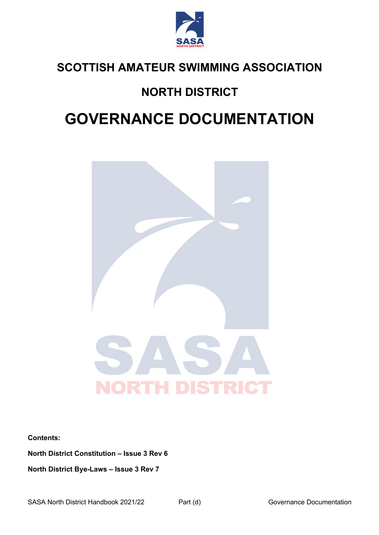

## **NORTH DISTRICT**

## **GOVERNANCE DOCUMENTATION**



**Contents:**

**North District Constitution – Issue 3 Rev 6**

**North District Bye-Laws – Issue 3 Rev 7**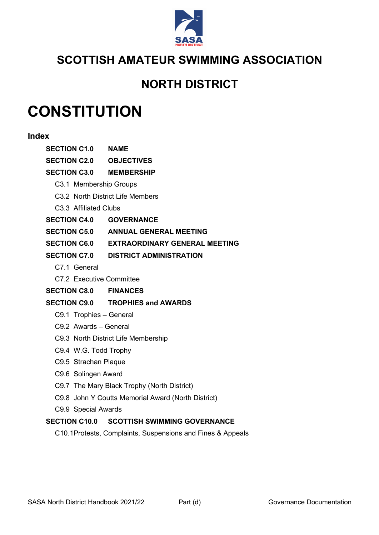

### **NORTH DISTRICT**

## **CONSTITUTION**

#### **Index**

| <b>SECTION C1.0 NAME</b>       |                                                            |
|--------------------------------|------------------------------------------------------------|
| <b>SECTION C2.0 OBJECTIVES</b> |                                                            |
| <b>SECTION C3.0 MEMBERSHIP</b> |                                                            |
| C3.1 Membership Groups         |                                                            |
|                                | C3.2 North District Life Members                           |
| C3.3 Affiliated Clubs          |                                                            |
| <b>SECTION C4.0 GOVERNANCE</b> |                                                            |
|                                | <b>SECTION C5.0 ANNUAL GENERAL MEETING</b>                 |
|                                | SECTION C6.0 EXTRAORDINARY GENERAL MEETING                 |
|                                | <b>SECTION C7.0 DISTRICT ADMINISTRATION</b>                |
| C7.1 General                   |                                                            |
| C7.2 Executive Committee       |                                                            |
| <b>SECTION C8.0 FINANCES</b>   |                                                            |
|                                | <b>SECTION C9.0 TROPHIES and AWARDS</b>                    |
| C9.1 Trophies - General        |                                                            |
| C9.2 Awards - General          |                                                            |
|                                | C9.3 North District Life Membership                        |
| C9.4 W.G. Todd Trophy          |                                                            |
| C9.5 Strachan Plaque           |                                                            |
| C9.6 Solingen Award            |                                                            |
|                                | C9.7 The Mary Black Trophy (North District)                |
|                                | C9.8 John Y Coutts Memorial Award (North District)         |
| C9.9 Special Awards            |                                                            |
|                                | SECTION C10.0 SCOTTISH SWIMMING GOVERNANCE                 |
|                                | C10.1Protests, Complaints, Suspensions and Fines & Appeals |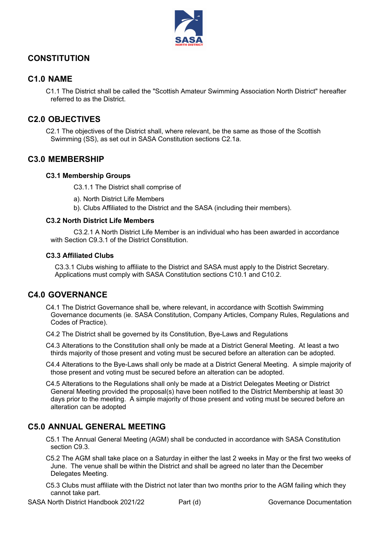

#### **CONSTITUTION**

#### **C1.0 NAME**

C1.1 The District shall be called the "Scottish Amateur Swimming Association North District" hereafter referred to as the District.

#### **C2.0 OBJECTIVES**

C2.1 The objectives of the District shall, where relevant, be the same as those of the Scottish Swimming (SS), as set out in SASA Constitution sections C2.1a.

#### **C3.0 MEMBERSHIP**

#### **C3.1 Membership Groups**

C3.1.1 The District shall comprise of

- a). North District Life Members
- b). Clubs Affiliated to the District and the SASA (including their members).

#### **C3.2 North District Life Members**

C3.2.1 A North District Life Member is an individual who has been awarded in accordance with Section C9.3.1 of the District Constitution.

#### **C3.3 Affiliated Clubs**

C3.3.1 Clubs wishing to affiliate to the District and SASA must apply to the District Secretary. Applications must comply with SASA Constitution sections C10.1 and C10.2.

#### **C4.0 GOVERNANCE**

C4.1 The District Governance shall be, where relevant, in accordance with Scottish Swimming Governance documents (ie. SASA Constitution, Company Articles, Company Rules, Regulations and Codes of Practice).

C4.2 The District shall be governed by its Constitution, Bye-Laws and Regulations

C4.3 Alterations to the Constitution shall only be made at a District General Meeting. At least a two thirds majority of those present and voting must be secured before an alteration can be adopted.

C4.4 Alterations to the Bye-Laws shall only be made at a District General Meeting. A simple majority of those present and voting must be secured before an alteration can be adopted.

C4.5 Alterations to the Regulations shall only be made at a District Delegates Meeting or District General Meeting provided the proposal(s) have been notified to the District Membership at least 30 days prior to the meeting. A simple majority of those present and voting must be secured before an alteration can be adopted

#### **C5.0 ANNUAL GENERAL MEETING**

C5.1 The Annual General Meeting (AGM) shall be conducted in accordance with SASA Constitution section C9.3.

C5.2 The AGM shall take place on a Saturday in either the last 2 weeks in May or the first two weeks of June. The venue shall be within the District and shall be agreed no later than the December Delegates Meeting.

C5.3 Clubs must affiliate with the District not later than two months prior to the AGM failing which they cannot take part.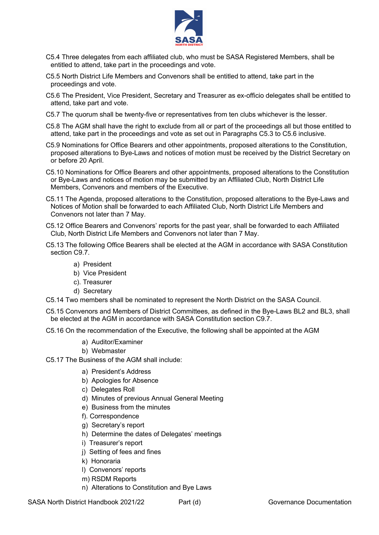

- C5.4 Three delegates from each affiliated club, who must be SASA Registered Members, shall be entitled to attend, take part in the proceedings and vote.
- C5.5 North District Life Members and Convenors shall be entitled to attend, take part in the proceedings and vote.
- C5.6 The President, Vice President, Secretary and Treasurer as ex-officio delegates shall be entitled to attend, take part and vote.
- C5.7 The quorum shall be twenty-five or representatives from ten clubs whichever is the lesser.
- C5.8 The AGM shall have the right to exclude from all or part of the proceedings all but those entitled to attend, take part in the proceedings and vote as set out in Paragraphs C5.3 to C5.6 inclusive.
- C5.9 Nominations for Office Bearers and other appointments, proposed alterations to the Constitution, proposed alterations to Bye-Laws and notices of motion must be received by the District Secretary on or before 20 April.
- C5.10 Nominations for Office Bearers and other appointments, proposed alterations to the Constitution or Bye-Laws and notices of motion may be submitted by an Affiliated Club, North District Life Members, Convenors and members of the Executive.
- C5.11 The Agenda, proposed alterations to the Constitution, proposed alterations to the Bye-Laws and Notices of Motion shall be forwarded to each Affiliated Club, North District Life Members and Convenors not later than 7 May.
- C5.12 Office Bearers and Convenors' reports for the past year, shall be forwarded to each Affiliated Club, North District Life Members and Convenors not later than 7 May.
- C5.13 The following Office Bearers shall be elected at the AGM in accordance with SASA Constitution section C9.7.
	- a) President
	- b) Vice President
	- c). Treasurer
	- d) Secretary
- C5.14 Two members shall be nominated to represent the North District on the SASA Council.

C5.15 Convenors and Members of District Committees, as defined in the Bye-Laws BL2 and BL3, shall be elected at the AGM in accordance with SASA Constitution section C9.7.

- C5.16 On the recommendation of the Executive, the following shall be appointed at the AGM
	- a) Auditor/Examiner
	- b) Webmaster
- C5.17 The Business of the AGM shall include:
	- a) President's Address
	- b) Apologies for Absence
	- c) Delegates Roll
	- d) Minutes of previous Annual General Meeting
	- e) Business from the minutes
	- f). Correspondence
	- g) Secretary's report
	- h) Determine the dates of Delegates' meetings
	- i) Treasurer's report
	- j) Setting of fees and fines
	- k) Honoraria
	- l) Convenors' reports
	- m) RSDM Reports
	- n) Alterations to Constitution and Bye Laws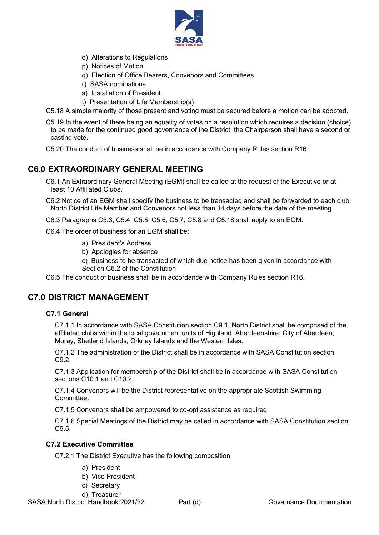

- o) Alterations to Regulations
- p) Notices of Motion
- q) Election of Office Bearers, Convenors and Committees
- r) SASA nominations
- s) Installation of President
- t) Presentation of Life Membership(s)
- C5.18 A simple majority of those present and voting must be secured before a motion can be adopted.
- C5.19 In the event of there being an equality of votes on a resolution which requires a decision (choice) to be made for the continued good governance of the District, the Chairperson shall have a second or casting vote.
- C5.20 The conduct of business shall be in accordance with Company Rules section R16.

#### **C6.0 EXTRAORDINARY GENERAL MEETING**

C6.1 An Extraordinary General Meeting (EGM) shall be called at the request of the Executive or at least 10 Affiliated Clubs.

C6.2 Notice of an EGM shall specify the business to be transacted and shall be forwarded to each club, North District Life Member and Convenors not less than 14 days before the date of the meeting

C6.3 Paragraphs C5.3, C5.4, C5.5, C5.6, C5.7, C5.8 and C5.18 shall apply to an EGM.

C6.4 The order of business for an EGM shall be:

- a) President's Address
- b) Apologies for absence
- c) Business to be transacted of which due notice has been given in accordance with Section C6.2 of the Constitution

C6.5 The conduct of business shall be in accordance with Company Rules section R16.

#### **C7.0 DISTRICT MANAGEMENT**

#### **C7.1 General**

C7.1.1 In accordance with SASA Constitution section C9.1, North District shall be comprised of the affiliated clubs within the local government units of Highland, Aberdeenshire, City of Aberdeen, Moray, Shetland Islands, Orkney Islands and the Western Isles.

C7.1.2 The administration of the District shall be in accordance with SASA Constitution section C9.2.

C7.1.3 Application for membership of the District shall be in accordance with SASA Constitution sections C10.1 and C10.2.

C7.1.4 Convenors will be the District representative on the appropriate Scottish Swimming Committee.

C7.1.5 Convenors shall be empowered to co-opt assistance as required.

C7.1.6 Special Meetings of the District may be called in accordance with SASA Constitution section C9.5.

#### **C7.2 Executive Committee**

C7.2.1 The District Executive has the following composition:

- a) President
- b) Vice President
- c) Secretary
- d) Treasurer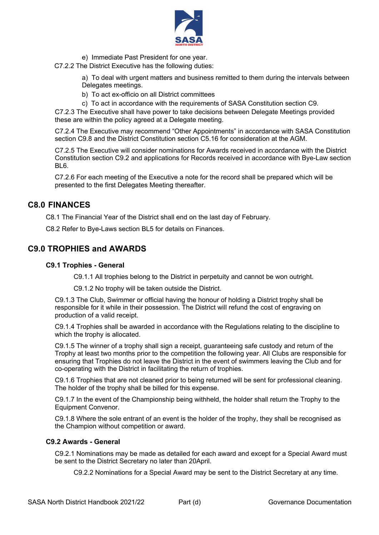

- e) Immediate Past President for one year.
- C7.2.2 The District Executive has the following duties:

a) To deal with urgent matters and business remitted to them during the intervals between Delegates meetings.

- b) To act ex-officio on all District committees
- c) To act in accordance with the requirements of SASA Constitution section C9.

C7.2.3 The Executive shall have power to take decisions between Delegate Meetings provided these are within the policy agreed at a Delegate meeting.

C7.2.4 The Executive may recommend "Other Appointments" in accordance with SASA Constitution section C9.8 and the District Constitution section C5.16 for consideration at the AGM.

C7.2.5 The Executive will consider nominations for Awards received in accordance with the District Constitution section C9.2 and applications for Records received in accordance with Bye-Law section BL6.

C7.2.6 For each meeting of the Executive a note for the record shall be prepared which will be presented to the first Delegates Meeting thereafter.

#### **C8.0 FINANCES**

C8.1 The Financial Year of the District shall end on the last day of February.

C8.2 Refer to Bye-Laws section BL5 for details on Finances.

#### **C9.0 TROPHIES and AWARDS**

#### **C9.1 Trophies - General**

C9.1.1 All trophies belong to the District in perpetuity and cannot be won outright.

C9.1.2 No trophy will be taken outside the District.

C9.1.3 The Club, Swimmer or official having the honour of holding a District trophy shall be responsible for it while in their possession. The District will refund the cost of engraving on production of a valid receipt.

C9.1.4 Trophies shall be awarded in accordance with the Regulations relating to the discipline to which the trophy is allocated.

C9.1.5 The winner of a trophy shall sign a receipt, guaranteeing safe custody and return of the Trophy at least two months prior to the competition the following year. All Clubs are responsible for ensuring that Trophies do not leave the District in the event of swimmers leaving the Club and for co-operating with the District in facilitating the return of trophies.

C9.1.6 Trophies that are not cleaned prior to being returned will be sent for professional cleaning. The holder of the trophy shall be billed for this expense.

C9.1.7 In the event of the Championship being withheld, the holder shall return the Trophy to the Equipment Convenor.

C9.1.8 Where the sole entrant of an event is the holder of the trophy, they shall be recognised as the Champion without competition or award.

#### **C9.2 Awards - General**

C9.2.1 Nominations may be made as detailed for each award and except for a Special Award must be sent to the District Secretary no later than 20April.

C9.2.2 Nominations for a Special Award may be sent to the District Secretary at any time.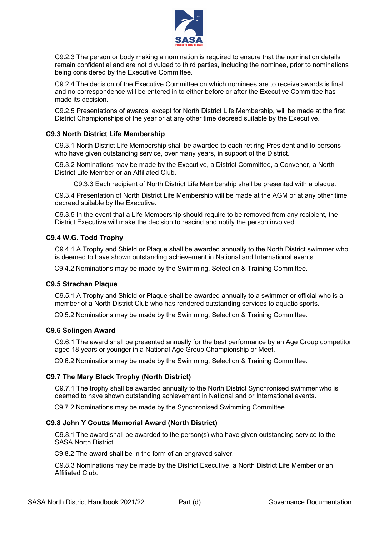

C9.2.3 The person or body making a nomination is required to ensure that the nomination details remain confidential and are not divulged to third parties, including the nominee, prior to nominations being considered by the Executive Committee.

C9.2.4 The decision of the Executive Committee on which nominees are to receive awards is final and no correspondence will be entered in to either before or after the Executive Committee has made its decision.

C9.2.5 Presentations of awards, except for North District Life Membership, will be made at the first District Championships of the year or at any other time decreed suitable by the Executive.

#### **C9.3 North District Life Membership**

C9.3.1 North District Life Membership shall be awarded to each retiring President and to persons who have given outstanding service, over many years, in support of the District.

C9.3.2 Nominations may be made by the Executive, a District Committee, a Convener, a North District Life Member or an Affiliated Club.

C9.3.3 Each recipient of North District Life Membership shall be presented with a plaque.

C9.3.4 Presentation of North District Life Membership will be made at the AGM or at any other time decreed suitable by the Executive.

C9.3.5 In the event that a Life Membership should require to be removed from any recipient, the District Executive will make the decision to rescind and notify the person involved.

#### **C9.4 W.G. Todd Trophy**

C9.4.1 A Trophy and Shield or Plaque shall be awarded annually to the North District swimmer who is deemed to have shown outstanding achievement in National and International events.

C9.4.2 Nominations may be made by the Swimming, Selection & Training Committee.

#### **C9.5 Strachan Plaque**

C9.5.1 A Trophy and Shield or Plaque shall be awarded annually to a swimmer or official who is a member of a North District Club who has rendered outstanding services to aquatic sports.

C9.5.2 Nominations may be made by the Swimming, Selection & Training Committee.

#### **C9.6 Solingen Award**

C9.6.1 The award shall be presented annually for the best performance by an Age Group competitor aged 18 years or younger in a National Age Group Championship or Meet.

C9.6.2 Nominations may be made by the Swimming, Selection & Training Committee.

#### **C9.7 The Mary Black Trophy (North District)**

C9.7.1 The trophy shall be awarded annually to the North District Synchronised swimmer who is deemed to have shown outstanding achievement in National and or International events.

C9.7.2 Nominations may be made by the Synchronised Swimming Committee.

#### **C9.8 John Y Coutts Memorial Award (North District)**

C9.8.1 The award shall be awarded to the person(s) who have given outstanding service to the SASA North District.

C9.8.2 The award shall be in the form of an engraved salver.

C9.8.3 Nominations may be made by the District Executive, a North District Life Member or an Affiliated Club.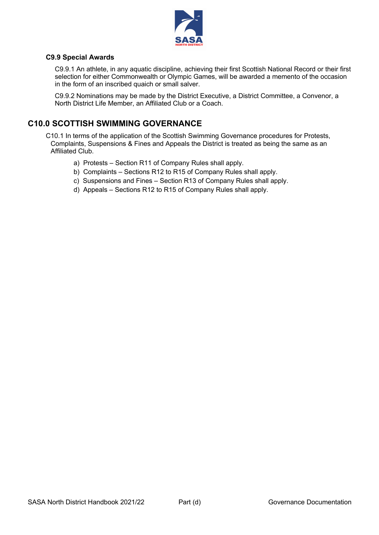

#### **C9.9 Special Awards**

C9.9.1 An athlete, in any aquatic discipline, achieving their first Scottish National Record or their first selection for either Commonwealth or Olympic Games, will be awarded a memento of the occasion in the form of an inscribed quaich or small salver.

C9.9.2 Nominations may be made by the District Executive, a District Committee, a Convenor, a North District Life Member, an Affiliated Club or a Coach.

#### **C10.0 SCOTTISH SWIMMING GOVERNANCE**

C10.1 In terms of the application of the Scottish Swimming Governance procedures for Protests, Complaints, Suspensions & Fines and Appeals the District is treated as being the same as an Affiliated Club.

- a) Protests Section R11 of Company Rules shall apply.
- b) Complaints Sections R12 to R15 of Company Rules shall apply.
- c) Suspensions and Fines Section R13 of Company Rules shall apply.
- d) Appeals Sections R12 to R15 of Company Rules shall apply.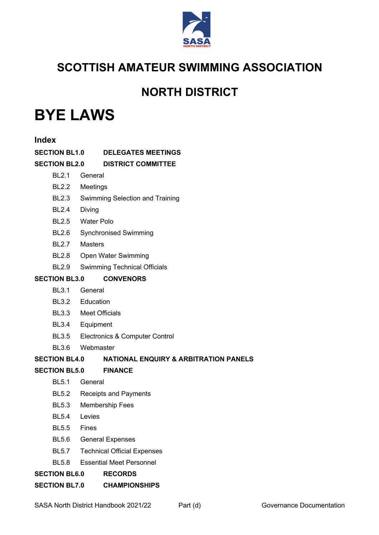

## **NORTH DISTRICT**

## **BYE LAWS**

| <b>Index</b>         |                                                                |
|----------------------|----------------------------------------------------------------|
| <b>SECTION BL1.0</b> | <b>DELEGATES MEETINGS</b>                                      |
|                      | <b>SECTION BL2.0 DISTRICT COMMITTEE</b>                        |
| <b>BL2.1</b>         | General                                                        |
| <b>BL2.2</b>         | Meetings                                                       |
| <b>BL2.3</b>         | Swimming Selection and Training                                |
| <b>BL2.4</b>         | Diving                                                         |
|                      | BL2.5 Water Polo                                               |
| <b>BL2.6</b>         | <b>Synchronised Swimming</b>                                   |
| <b>BL2.7</b>         | <b>Masters</b>                                                 |
| <b>BL2.8</b>         | Open Water Swimming                                            |
| <b>BL2.9</b>         | <b>Swimming Technical Officials</b>                            |
| <b>SECTION BL3.0</b> | <b>CONVENORS</b>                                               |
| <b>BL3.1</b>         | General                                                        |
|                      | BL3.2 Education                                                |
|                      | BL3.3 Meet Officials                                           |
| <b>BL3.4</b>         | Equipment                                                      |
| <b>BL3.5</b>         | Electronics & Computer Control                                 |
| <b>BL3.6</b>         | Webmaster                                                      |
|                      | <b>SECTION BL4.0 NATIONAL ENQUIRY &amp; ARBITRATION PANELS</b> |
| <b>SECTION BL5.0</b> | <b>FINANCE</b>                                                 |
| <b>BL5.1</b>         | General                                                        |
| <b>BL5.2</b>         | <b>Receipts and Payments</b>                                   |
| <b>BL5.3</b>         | <b>Membership Fees</b>                                         |
| <b>BL5.4</b>         | Levies                                                         |
| <b>BL5.5</b>         | Fines                                                          |
| <b>BL5.6</b>         | <b>General Expenses</b>                                        |
| <b>BL5.7</b>         | <b>Technical Official Expenses</b>                             |
| <b>BL5.8</b>         | <b>Essential Meet Personnel</b>                                |
| <b>SECTION BL6.0</b> | <b>RECORDS</b>                                                 |
|                      | <b>SECTION BL7.0 CHAMPIONSHIPS</b>                             |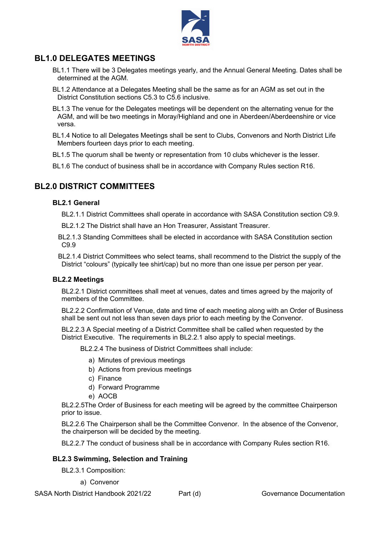

#### **BL1.0 DELEGATES MEETINGS**

- BL1.1 There will be 3 Delegates meetings yearly, and the Annual General Meeting. Dates shall be determined at the AGM.
- BL1.2 Attendance at a Delegates Meeting shall be the same as for an AGM as set out in the District Constitution sections C5.3 to C5.6 inclusive.
- BL1.3 The venue for the Delegates meetings will be dependent on the alternating venue for the AGM, and will be two meetings in Moray/Highland and one in Aberdeen/Aberdeenshire or vice versa.
- BL1.4 Notice to all Delegates Meetings shall be sent to Clubs, Convenors and North District Life Members fourteen days prior to each meeting.
- BL1.5 The quorum shall be twenty or representation from 10 clubs whichever is the lesser.
- BL1.6 The conduct of business shall be in accordance with Company Rules section R16.

#### **BL2.0 DISTRICT COMMITTEES**

#### **BL2.1 General**

BL2.1.1 District Committees shall operate in accordance with SASA Constitution section C9.9.

- BL2.1.2 The District shall have an Hon Treasurer, Assistant Treasurer.
- BL2.1.3 Standing Committees shall be elected in accordance with SASA Constitution section C9.9
- BL2.1.4 District Committees who select teams, shall recommend to the District the supply of the District "colours" (typically tee shirt/cap) but no more than one issue per person per year.

#### **BL2.2 Meetings**

BL2.2.1 District committees shall meet at venues, dates and times agreed by the majority of members of the Committee.

BL2.2.2 Confirmation of Venue, date and time of each meeting along with an Order of Business shall be sent out not less than seven days prior to each meeting by the Convenor.

BL2.2.3 A Special meeting of a District Committee shall be called when requested by the District Executive. The requirements in BL2.2.1 also apply to special meetings.

BL2.2.4 The business of District Committees shall include:

- a) Minutes of previous meetings
- b) Actions from previous meetings
- c) Finance
- d) Forward Programme
- e) AOCB

BL2.2.5The Order of Business for each meeting will be agreed by the committee Chairperson prior to issue.

BL2.2.6 The Chairperson shall be the Committee Convenor. In the absence of the Convenor, the chairperson will be decided by the meeting.

BL2.2.7 The conduct of business shall be in accordance with Company Rules section R16.

#### **BL2.3 Swimming, Selection and Training**

BL2.3.1 Composition:

a) Convenor

SASA North District Handbook 2021/22 Part (d) Governance Documentation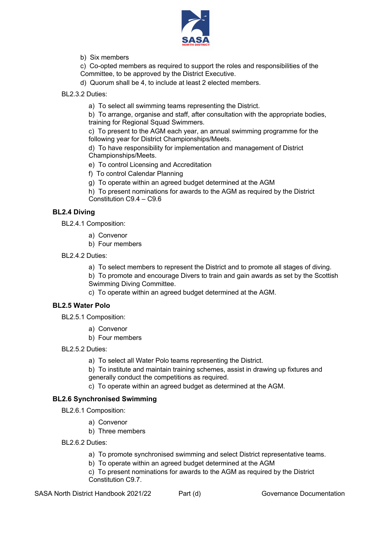

#### b) Six members

c) Co-opted members as required to support the roles and responsibilities of the Committee, to be approved by the District Executive.

- d) Quorum shall be 4, to include at least 2 elected members.
- BL2.3.2 Duties:
	- a) To select all swimming teams representing the District.

b) To arrange, organise and staff, after consultation with the appropriate bodies, training for Regional Squad Swimmers.

c) To present to the AGM each year, an annual swimming programme for the following year for District Championships/Meets.

d) To have responsibility for implementation and management of District Championships/Meets.

- e) To control Licensing and Accreditation
- f) To control Calendar Planning
- g) To operate within an agreed budget determined at the AGM
- h) To present nominations for awards to the AGM as required by the District Constitution C9.4 – C9.6

#### **BL2.4 Diving**

BL2.4.1 Composition:

- a) Convenor
- b) Four members
- BL2.4.2 Duties:
	- a) To select members to represent the District and to promote all stages of diving.
	- b) To promote and encourage Divers to train and gain awards as set by the Scottish Swimming Diving Committee.
	- c) To operate within an agreed budget determined at the AGM.

#### **BL2.5 Water Polo**

- BL2.5.1 Composition:
	- a) Convenor
	- b) Four members
- BL2.5.2 Duties:
	- a) To select all Water Polo teams representing the District.
	- b) To institute and maintain training schemes, assist in drawing up fixtures and
	- generally conduct the competitions as required.
	- c) To operate within an agreed budget as determined at the AGM.

#### **BL2.6 Synchronised Swimming**

- BL2.6.1 Composition:
	- a) Convenor
		- b) Three members
- BL2.6.2 Duties:
	- a) To promote synchronised swimming and select District representative teams.
	- b) To operate within an agreed budget determined at the AGM
	- c) To present nominations for awards to the AGM as required by the District Constitution C9.7.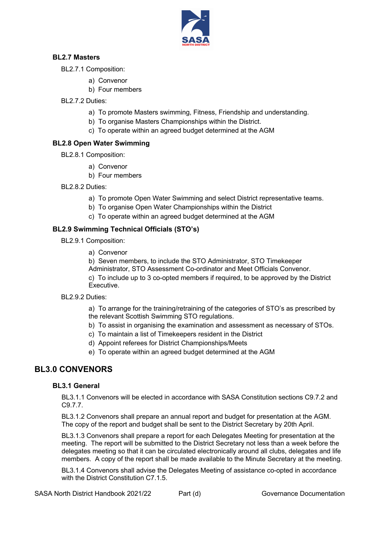

#### **BL2.7 Masters**

- BL2.7.1 Composition:
	- a) Convenor
	- b) Four members
- BL2.7.2 Duties:
	- a) To promote Masters swimming, Fitness, Friendship and understanding.
	- b) To organise Masters Championships within the District.
	- c) To operate within an agreed budget determined at the AGM

#### **BL2.8 Open Water Swimming**

- BL2.8.1 Composition:
	- a) Convenor
	- b) Four members
- BL2.8.2 Duties:
	- a) To promote Open Water Swimming and select District representative teams.
	- b) To organise Open Water Championships within the District
	- c) To operate within an agreed budget determined at the AGM

#### **BL2.9 Swimming Technical Officials (STO's)**

- BL2.9.1 Composition:
	- a) Convenor

b) Seven members, to include the STO Administrator, STO Timekeeper Administrator, STO Assessment Co-ordinator and Meet Officials Convenor. c) To include up to 3 co-opted members if required, to be approved by the District Executive.

BL2.9.2 Duties:

a) To arrange for the training/retraining of the categories of STO's as prescribed by the relevant Scottish Swimming STO regulations.

- b) To assist in organising the examination and assessment as necessary of STOs.
- c) To maintain a list of Timekeepers resident in the District
- d) Appoint referees for District Championships/Meets
- e) To operate within an agreed budget determined at the AGM

#### **BL3.0 CONVENORS**

#### **BL3.1 General**

BL3.1.1 Convenors will be elected in accordance with SASA Constitution sections C9.7.2 and C9.7.7.

BL3.1.2 Convenors shall prepare an annual report and budget for presentation at the AGM. The copy of the report and budget shall be sent to the District Secretary by 20th April.

BL3.1.3 Convenors shall prepare a report for each Delegates Meeting for presentation at the meeting. The report will be submitted to the District Secretary not less than a week before the delegates meeting so that it can be circulated electronically around all clubs, delegates and life members. A copy of the report shall be made available to the Minute Secretary at the meeting.

BL3.1.4 Convenors shall advise the Delegates Meeting of assistance co-opted in accordance with the District Constitution C7.1.5.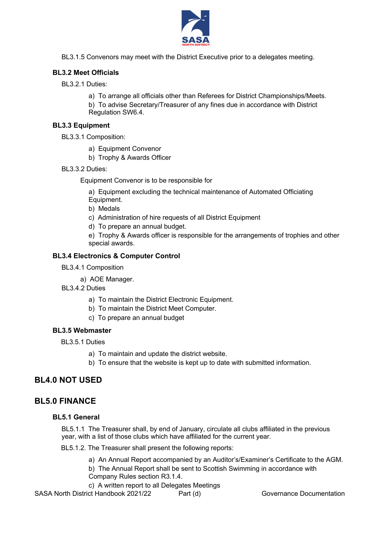

BL3.1.5 Convenors may meet with the District Executive prior to a delegates meeting.

#### **BL3.2 Meet Officials**

BL3.2.1 Duties:

- a) To arrange all officials other than Referees for District Championships/Meets.
- b) To advise Secretary/Treasurer of any fines due in accordance with District Regulation SW6.4.

#### **BL3.3 Equipment**

- BL3.3.1 Composition:
	- a) Equipment Convenor
	- b) Trophy & Awards Officer
- BL3.3.2 Duties:

Equipment Convenor is to be responsible for

a) Equipment excluding the technical maintenance of Automated Officiating Equipment.

b) Medals

- c) Administration of hire requests of all District Equipment
- d) To prepare an annual budget.

e) Trophy & Awards officer is responsible for the arrangements of trophies and other special awards.

#### **BL3.4 Electronics & Computer Control**

BL3.4.1 Composition

a) AOE Manager.

BL3.4.2 Duties

- a) To maintain the District Electronic Equipment.
- b) To maintain the District Meet Computer.
- c) To prepare an annual budget

#### **BL3.5 Webmaster**

BL3.5.1 Duties

- a) To maintain and update the district website.
- b) To ensure that the website is kept up to date with submitted information.

#### **BL4.0 NOT USED**

#### **BL5.0 FINANCE**

#### **BL5.1 General**

BL5.1.1 The Treasurer shall, by end of January, circulate all clubs affiliated in the previous year, with a list of those clubs which have affiliated for the current year.

BL5.1.2. The Treasurer shall present the following reports:

- a) An Annual Report accompanied by an Auditor's/Examiner's Certificate to the AGM. b) The Annual Report shall be sent to Scottish Swimming in accordance with Company Rules section R3.1.4.
- c) A written report to all Delegates Meetings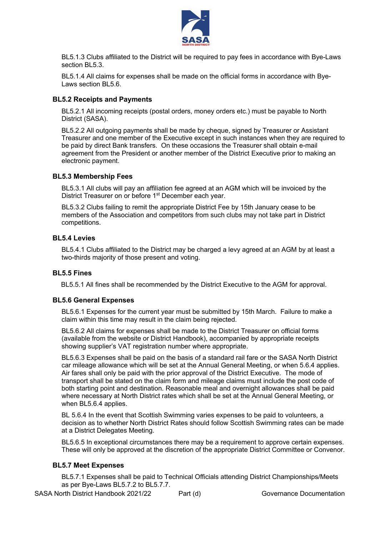

BL5.1.3 Clubs affiliated to the District will be required to pay fees in accordance with Bye-Laws section BL5.3.

BL5.1.4 All claims for expenses shall be made on the official forms in accordance with Bye-Laws section BL5.6.

#### **BL5.2 Receipts and Payments**

BL5.2.1 All incoming receipts (postal orders, money orders etc.) must be payable to North District (SASA).

BL5.2.2 All outgoing payments shall be made by cheque, signed by Treasurer or Assistant Treasurer and one member of the Executive except in such instances when they are required to be paid by direct Bank transfers. On these occasions the Treasurer shall obtain e-mail agreement from the President or another member of the District Executive prior to making an electronic payment.

#### **BL5.3 Membership Fees**

BL5.3.1 All clubs will pay an affiliation fee agreed at an AGM which will be invoiced by the District Treasurer on or before 1<sup>st</sup> December each year.

BL5.3.2 Clubs failing to remit the appropriate District Fee by 15th January cease to be members of the Association and competitors from such clubs may not take part in District competitions.

#### **BL5.4 Levies**

BL5.4.1 Clubs affiliated to the District may be charged a levy agreed at an AGM by at least a two-thirds majority of those present and voting.

#### **BL5.5 Fines**

BL5.5.1 All fines shall be recommended by the District Executive to the AGM for approval.

#### **BL5.6 General Expenses**

BL5.6.1 Expenses for the current year must be submitted by 15th March. Failure to make a claim within this time may result in the claim being rejected.

BL5.6.2 All claims for expenses shall be made to the District Treasurer on official forms (available from the website or District Handbook), accompanied by appropriate receipts showing supplier's VAT registration number where appropriate.

BL5.6.3 Expenses shall be paid on the basis of a standard rail fare or the SASA North District car mileage allowance which will be set at the Annual General Meeting, or when 5.6.4 applies. Air fares shall only be paid with the prior approval of the District Executive. The mode of transport shall be stated on the claim form and mileage claims must include the post code of both starting point and destination. Reasonable meal and overnight allowances shall be paid where necessary at North District rates which shall be set at the Annual General Meeting, or when BL5.6.4 applies.

BL 5.6.4 In the event that Scottish Swimming varies expenses to be paid to volunteers, a decision as to whether North District Rates should follow Scottish Swimming rates can be made at a District Delegates Meeting.

BL5.6.5 In exceptional circumstances there may be a requirement to approve certain expenses. These will only be approved at the discretion of the appropriate District Committee or Convenor.

#### **BL5.7 Meet Expenses**

BL5.7.1 Expenses shall be paid to Technical Officials attending District Championships/Meets as per Bye-Laws BL5.7.2 to BL5.7.7.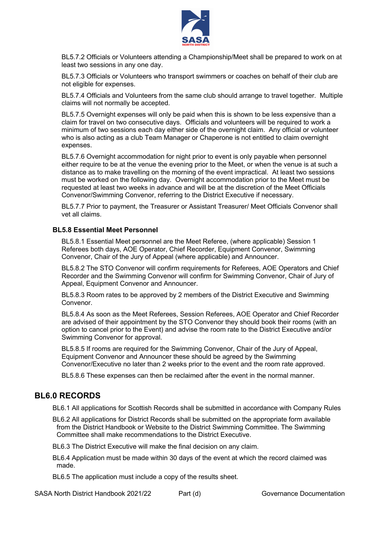

BL5.7.2 Officials or Volunteers attending a Championship/Meet shall be prepared to work on at least two sessions in any one day.

BL5.7.3 Officials or Volunteers who transport swimmers or coaches on behalf of their club are not eligible for expenses.

BL5.7.4 Officials and Volunteers from the same club should arrange to travel together. Multiple claims will not normally be accepted.

BL5.7.5 Overnight expenses will only be paid when this is shown to be less expensive than a claim for travel on two consecutive days. Officials and volunteers will be required to work a minimum of two sessions each day either side of the overnight claim. Any official or volunteer who is also acting as a club Team Manager or Chaperone is not entitled to claim overnight expenses.

BL5.7.6 Overnight accommodation for night prior to event is only payable when personnel either require to be at the venue the evening prior to the Meet, or when the venue is at such a distance as to make travelling on the morning of the event impractical. At least two sessions must be worked on the following day. Overnight accommodation prior to the Meet must be requested at least two weeks in advance and will be at the discretion of the Meet Officials Convenor/Swimming Convenor, referring to the District Executive if necessary.

BL5.7.7 Prior to payment, the Treasurer or Assistant Treasurer/ Meet Officials Convenor shall vet all claims.

#### **BL5.8 Essential Meet Personnel**

BL5.8.1 Essential Meet personnel are the Meet Referee, (where applicable) Session 1 Referees both days, AOE Operator, Chief Recorder, Equipment Convenor, Swimming Convenor, Chair of the Jury of Appeal (where applicable) and Announcer.

BL5.8.2 The STO Convenor will confirm requirements for Referees, AOE Operators and Chief Recorder and the Swimming Convenor will confirm for Swimming Convenor, Chair of Jury of Appeal, Equipment Convenor and Announcer.

BL5.8.3 Room rates to be approved by 2 members of the District Executive and Swimming Convenor.

BL5.8.4 As soon as the Meet Referees, Session Referees, AOE Operator and Chief Recorder are advised of their appointment by the STO Convenor they should book their rooms (with an option to cancel prior to the Event) and advise the room rate to the District Executive and/or Swimming Convenor for approval.

BL5.8.5 If rooms are required for the Swimming Convenor, Chair of the Jury of Appeal, Equipment Convenor and Announcer these should be agreed by the Swimming Convenor/Executive no later than 2 weeks prior to the event and the room rate approved.

BL5.8.6 These expenses can then be reclaimed after the event in the normal manner.

#### **BL6.0 RECORDS**

BL6.1 All applications for Scottish Records shall be submitted in accordance with Company Rules

BL6.2 All applications for District Records shall be submitted on the appropriate form available from the District Handbook or Website to the District Swimming Committee. The Swimming Committee shall make recommendations to the District Executive.

BL6.3 The District Executive will make the final decision on any claim.

- BL6.4 Application must be made within 30 days of the event at which the record claimed was made.
- BL6.5 The application must include a copy of the results sheet.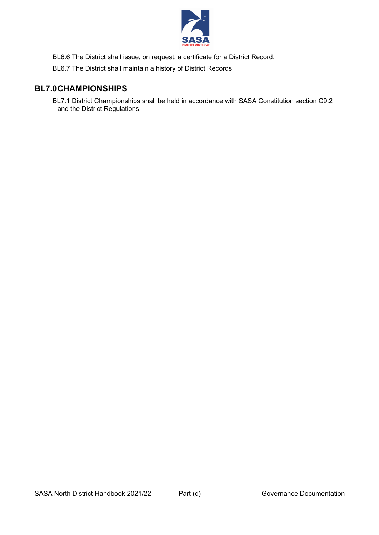

BL6.6 The District shall issue, on request, a certificate for a District Record.

BL6.7 The District shall maintain a history of District Records

#### **BL7.0CHAMPIONSHIPS**

BL7.1 District Championships shall be held in accordance with SASA Constitution section C9.2 and the District Regulations.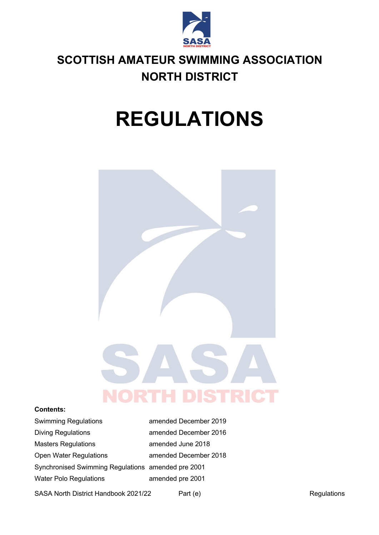

## **SCOTTISH AMATEUR SWIMMING ASSOCIATION NORTH DISTRICT**

# **REGULATIONS**



#### **Contents:**

| <b>Swimming Regulations</b>                        | amended December 2019 |  |
|----------------------------------------------------|-----------------------|--|
| <b>Diving Regulations</b>                          | amended December 2016 |  |
| <b>Masters Regulations</b>                         | amended June 2018     |  |
| <b>Open Water Regulations</b>                      | amended December 2018 |  |
| Synchronised Swimming Regulations amended pre 2001 |                       |  |
| <b>Water Polo Regulations</b>                      | amended pre 2001      |  |

SASA North District Handbook 2021/22 Part (e) Part (e) Regulations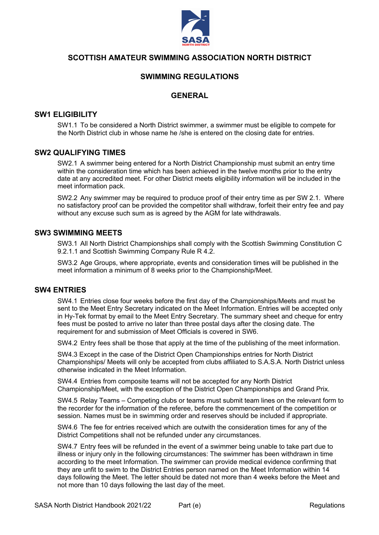

#### **SCOTTISH AMATEUR SWIMMING ASSOCIATION NORTH DISTRICT**

#### **SWIMMING REGULATIONS**

#### **GENERAL**

#### **SW1 ELIGIBILITY**

SW1.1 To be considered a North District swimmer, a swimmer must be eligible to compete for the North District club in whose name he /she is entered on the closing date for entries.

#### **SW2 QUALIFYING TIMES**

SW2.1 A swimmer being entered for a North District Championship must submit an entry time within the consideration time which has been achieved in the twelve months prior to the entry date at any accredited meet. For other District meets eligibility information will be included in the meet information pack.

SW2.2 Any swimmer may be required to produce proof of their entry time as per SW 2.1. Where no satisfactory proof can be provided the competitor shall withdraw, forfeit their entry fee and pay without any excuse such sum as is agreed by the AGM for late withdrawals.

#### **SW3 SWIMMING MEETS**

SW3.1 All North District Championships shall comply with the Scottish Swimming Constitution C 9.2.1.1 and Scottish Swimming Company Rule R 4.2.

SW3.2 Age Groups, where appropriate, events and consideration times will be published in the meet information a minimum of 8 weeks prior to the Championship/Meet.

#### **SW4 ENTRIES**

SW4.1 Entries close four weeks before the first day of the Championships/Meets and must be sent to the Meet Entry Secretary indicated on the Meet Information. Entries will be accepted only in Hy-Tek format by email to the Meet Entry Secretary. The summary sheet and cheque for entry fees must be posted to arrive no later than three postal days after the closing date. The requirement for and submission of Meet Officials is covered in SW6.

SW4.2 Entry fees shall be those that apply at the time of the publishing of the meet information.

SW4.3 Except in the case of the District Open Championships entries for North District Championships/ Meets will only be accepted from clubs affiliated to S.A.S.A. North District unless otherwise indicated in the Meet Information.

SW4.4 Entries from composite teams will not be accepted for any North District Championship/Meet, with the exception of the District Open Championships and Grand Prix.

SW4.5 Relay Teams – Competing clubs or teams must submit team lines on the relevant form to the recorder for the information of the referee, before the commencement of the competition or session. Names must be in swimming order and reserves should be included if appropriate.

SW4.6 The fee for entries received which are outwith the consideration times for any of the District Competitions shall not be refunded under any circumstances.

SW4.7 Entry fees will be refunded in the event of a swimmer being unable to take part due to illness or injury only in the following circumstances: The swimmer has been withdrawn in time according to the meet Information. The swimmer can provide medical evidence confirming that they are unfit to swim to the District Entries person named on the Meet Information within 14 days following the Meet. The letter should be dated not more than 4 weeks before the Meet and not more than 10 days following the last day of the meet.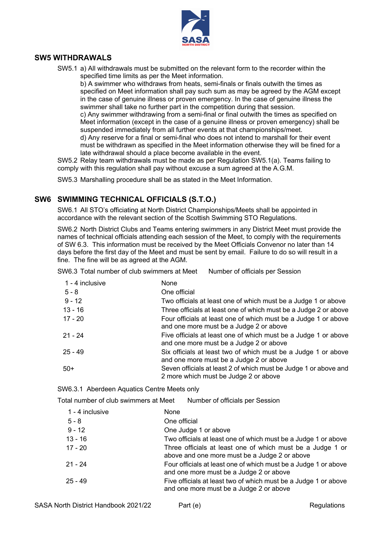

#### **SW5 WITHDRAWALS**

SW5.1 a) All withdrawals must be submitted on the relevant form to the recorder within the specified time limits as per the Meet information.

b) A swimmer who withdraws from heats, semi-finals or finals outwith the times as specified on Meet information shall pay such sum as may be agreed by the AGM except in the case of genuine illness or proven emergency. In the case of genuine illness the swimmer shall take no further part in the competition during that session. c) Any swimmer withdrawing from a semi-final or final outwith the times as specified on Meet information (except in the case of a genuine illness or proven emergency) shall be

suspended immediately from all further events at that championships/meet. d) Any reserve for a final or semi-final who does not intend to marshall for their event must be withdrawn as specified in the Meet information otherwise they will be fined for a late withdrawal should a place become available in the event.

SW5.2 Relay team withdrawals must be made as per Regulation SW5.1(a). Teams failing to comply with this regulation shall pay without excuse a sum agreed at the A.G.M.

SW5.3 Marshalling procedure shall be as stated in the Meet Information.

#### **SW6 SWIMMING TECHNICAL OFFICIALS (S.T.O.)**

SW6.1 All STO's officiating at North District Championships/Meets shall be appointed in accordance with the relevant section of the Scottish Swimming STO Regulations.

SW6.2 North District Clubs and Teams entering swimmers in any District Meet must provide the names of technical officials attending each session of the Meet, to comply with the requirements of SW 6.3. This information must be received by the Meet Officials Convenor no later than 14 days before the first day of the Meet and must be sent by email. Failure to do so will result in a fine. The fine will be as agreed at the AGM.

SW6.3 Total number of club swimmers at Meet Number of officials per Session

| 1 - 4 inclusive | None                                                                                                       |
|-----------------|------------------------------------------------------------------------------------------------------------|
| $5 - 8$         | One official                                                                                               |
| $9 - 12$        | Two officials at least one of which must be a Judge 1 or above                                             |
| $13 - 16$       | Three officials at least one of which must be a Judge 2 or above                                           |
| $17 - 20$       | Four officials at least one of which must be a Judge 1 or above<br>and one more must be a Judge 2 or above |
| $21 - 24$       | Five officials at least one of which must be a Judge 1 or above<br>and one more must be a Judge 2 or above |
| $25 - 49$       | Six officials at least two of which must be a Judge 1 or above<br>and one more must be a Judge 2 or above  |
| $50+$           | Seven officials at least 2 of which must be Judge 1 or above and<br>2 more which must be Judge 2 or above  |

SW6.3.1 Aberdeen Aquatics Centre Meets only

Total number of club swimmers at Meet Number of officials per Session

| 1 - 4 inclusive | <b>None</b>                                                                                                 |
|-----------------|-------------------------------------------------------------------------------------------------------------|
| $5 - 8$         | One official                                                                                                |
| $9 - 12$        | One Judge 1 or above                                                                                        |
| $13 - 16$       | Two officials at least one of which must be a Judge 1 or above                                              |
| $17 - 20$       | Three officials at least one of which must be a Judge 1 or<br>above and one more must be a Judge 2 or above |
| $21 - 24$       | Four officials at least one of which must be a Judge 1 or above<br>and one more must be a Judge 2 or above  |
| $25 - 49$       | Five officials at least two of which must be a Judge 1 or above<br>and one more must be a Judge 2 or above  |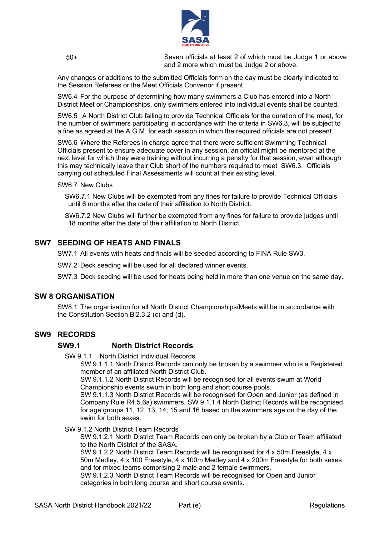

 50+ Seven officials at least 2 of which must be Judge 1 or above and 2 more which must be Judge 2 or above.

Any changes or additions to the submitted Officials form on the day must be clearly indicated to the Session Referees or the Meet Officials Convenor if present.

SW6.4 For the purpose of determining how many swimmers a Club has entered into a North District Meet or Championships, only swimmers entered into individual events shall be counted.

SW6.5 A North District Club failing to provide Technical Officials for the duration of the meet, for the number of swimmers participating in accordance with the criteria in SW6.3, will be subject to a fine as agreed at the A.G.M. for each session in which the required officials are not present.

SW6.6 Where the Referees in charge agree that there were sufficient Swimming Technical Officials present to ensure adequate cover in any session, an official might be mentored at the next level for which they were training without incurring a penalty for that session, even although this may technically leave their Club short of the numbers required to meet SW6.3. Officials carrying out scheduled Final Assessments will count at their existing level.

#### SW6.7 New Clubs

 SW6.7.1 New Clubs will be exempted from any fines for failure to provide Technical Officials until 6 months after the date of their affiliation to North District.

 SW6.7.2 New Clubs will further be exempted from any fines for failure to provide judges until 18 months after the date of their affiliation to North District.

#### **SW7 SEEDING OF HEATS AND FINALS**

SW7.1 All events with heats and finals will be seeded according to FINA Rule SW3.

SW7.2 Deck seeding will be used for all declared winner events.

SW7.3 Deck seeding will be used for heats being held in more than one venue on the same day.

#### **SW 8 ORGANISATION**

SW8.1 The organisation for all North District Championships/Meets will be in accordance with the Constitution Section Bl2.3.2 (c) and (d).

#### **SW9 RECORDS**

#### **SW9.1 North District Records**

SW 9.1.1 North District Individual Records

SW 9.1.1.1 North District Records can only be broken by a swimmer who is a Registered member of an affiliated North District Club.

SW 9.1.1.2 North District Records will be recognised for all events swum at World Championship events swum in both long and short course pools.

SW 9.1.1.3 North District Records will be recognised for Open and Junior (as defined in Company Rule R4.5.6a) swimmers. SW 9.1.1.4 North District Records will be recognised for age groups 11, 12, 13, 14, 15 and 16 based on the swimmers age on the day of the swim for both sexes.

SW 9.1.2 North District Team Records

SW 9.1.2.1 North District Team Records can only be broken by a Club or Team affiliated to the North District of the SASA.

SW 9.1.2.2 North District Team Records will be recognised for 4 x 50m Freestyle, 4 x 50m Medley, 4 x 100 Freestyle, 4 x 100m Medley and 4 x 200m Freestyle for both sexes and for mixed teams comprising 2 male and 2 female swimmers.

SW 9.1.2.3 North District Team Records will be recognised for Open and Junior categories in both long course and short course events.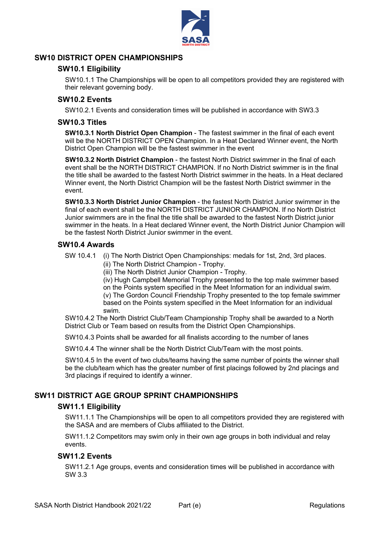

#### **SW10 DISTRICT OPEN CHAMPIONSHIPS**

#### **SW10.1 Eligibility**

SW10.1.1 The Championships will be open to all competitors provided they are registered with their relevant governing body.

#### **SW10.2 Events**

SW10.2.1 Events and consideration times will be published in accordance with SW3.3

#### **SW10.3 Titles**

**SW10.3.1 North District Open Champion** - The fastest swimmer in the final of each event will be the NORTH DISTRICT OPEN Champion. In a Heat Declared Winner event, the North District Open Champion will be the fastest swimmer in the event

**SW10.3.2 North District Champion** - the fastest North District swimmer in the final of each event shall be the NORTH DISTRICT CHAMPION. If no North District swimmer is in the final the title shall be awarded to the fastest North District swimmer in the heats. In a Heat declared Winner event, the North District Champion will be the fastest North District swimmer in the event.

**SW10.3.3 North District Junior Champion** - the fastest North District Junior swimmer in the final of each event shall be the NORTH DISTRICT JUNIOR CHAMPION. If no North District Junior swimmers are in the final the title shall be awarded to the fastest North District junior swimmer in the heats. In a Heat declared Winner event, the North District Junior Champion will be the fastest North District Junior swimmer in the event.

#### **SW10.4 Awards**

SW 10.4.1 (i) The North District Open Championships: medals for 1st, 2nd, 3rd places.

(ii) The North District Champion - Trophy.

(iii) The North District Junior Champion - Trophy.

(iv) Hugh Campbell Memorial Trophy presented to the top male swimmer based on the Points system specified in the Meet Information for an individual swim.

(v) The Gordon Council Friendship Trophy presented to the top female swimmer based on the Points system specified in the Meet Information for an individual swim.

SW10.4.2 The North District Club/Team Championship Trophy shall be awarded to a North District Club or Team based on results from the District Open Championships.

SW10.4.3 Points shall be awarded for all finalists according to the number of lanes

SW10.4.4 The winner shall be the North District Club/Team with the most points.

SW10.4.5 In the event of two clubs/teams having the same number of points the winner shall be the club/team which has the greater number of first placings followed by 2nd placings and 3rd placings if required to identify a winner.

#### **SW11 DISTRICT AGE GROUP SPRINT CHAMPIONSHIPS**

#### **SW11.1 Eligibility**

SW11.1.1 The Championships will be open to all competitors provided they are registered with the SASA and are members of Clubs affiliated to the District.

SW11.1.2 Competitors may swim only in their own age groups in both individual and relay events.

#### **SW11.2 Events**

SW11.2.1 Age groups, events and consideration times will be published in accordance with SW 3.3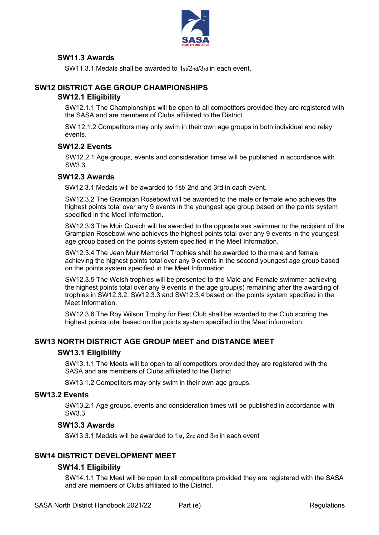

#### **SW11.3 Awards**

SW11.3.1 Medals shall be awarded to 1st/2nd/3rd in each event.

#### **SW12 DISTRICT AGE GROUP CHAMPIONSHIPS**

#### **SW12.1 Eligibility**

SW12.1.1 The Championships will be open to all competitors provided they are registered with the SASA and are members of Clubs affiliated to the District.

SW 12.1.2 Competitors may only swim in their own age groups in both individual and relay events.

#### **SW12.2 Events**

SW12.2.1 Age groups, events and consideration times will be published in accordance with SW3.3

#### **SW12.3 Awards**

SW12.3.1 Medals will be awarded to 1st/ 2nd and 3rd in each event.

SW12.3.2 The Grampian Rosebowl will be awarded to the male or female who achieves the highest points total over any 9 events in the youngest age group based on the points system specified in the Meet Information.

SW12.3.3 The Muir Quaich will be awarded to the opposite sex swimmer to the recipient of the Grampian Rosebowl who achieves the highest points total over any 9 events in the youngest age group based on the points system specified in the Meet Information.

SW12.3.4 The Jean Muir Memorial Trophies shall be awarded to the male and female achieving the highest points total over any 9 events in the second youngest age group based on the points system specified in the Meet Information.

SW12.3.5 The Welsh trophies will be presented to the Male and Female swimmer achieving the highest points total over any 9 events in the age group(s) remaining after the awarding of trophies in SW12.3.2, SW12.3.3 and SW12.3.4 based on the points system specified in the Meet Information.

SW12.3.6 The Roy Wilson Trophy for Best Club shall be awarded to the Club scoring the highest points total based on the points system specified in the Meet information.

#### **SW13 NORTH DISTRICT AGE GROUP MEET and DISTANCE MEET**

#### **SW13.1 Eligibility**

SW13.1.1 The Meets will be open to all competitors provided they are registered with the SASA and are members of Clubs affiliated to the District

SW13.1.2 Competitors may only swim in their own age groups.

#### **SW13.2 Events**

SW13.2.1 Age groups, events and consideration times will be published in accordance with SW3.3

#### **SW13.3 Awards**

SW13.3.1 Medals will be awarded to 1st, 2nd and 3rd in each event

#### **SW14 DISTRICT DEVELOPMENT MEET**

#### **SW14.1 Eligibility**

SW14.1.1 The Meet will be open to all competitors provided they are registered with the SASA and are members of Clubs affiliated to the District.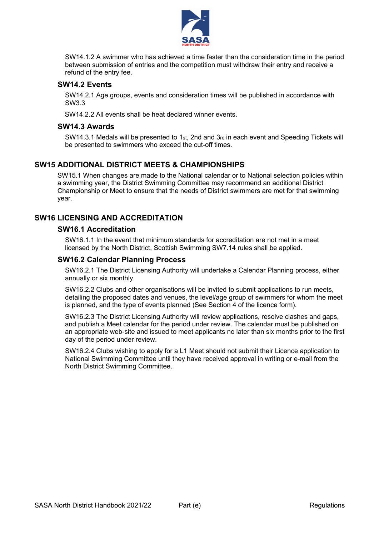

SW14.1.2 A swimmer who has achieved a time faster than the consideration time in the period between submission of entries and the competition must withdraw their entry and receive a refund of the entry fee.

#### **SW14.2 Events**

SW14.2.1 Age groups, events and consideration times will be published in accordance with SW3.3

SW14.2.2 All events shall be heat declared winner events.

#### **SW14.3 Awards**

SW14.3.1 Medals will be presented to 1st, 2nd and 3rd in each event and Speeding Tickets will be presented to swimmers who exceed the cut-off times.

#### **SW15 ADDITIONAL DISTRICT MEETS & CHAMPIONSHIPS**

SW15.1 When changes are made to the National calendar or to National selection policies within a swimming year, the District Swimming Committee may recommend an additional District Championship or Meet to ensure that the needs of District swimmers are met for that swimming year.

#### **SW16 LICENSING AND ACCREDITATION**

#### **SW16.1 Accreditation**

SW16.1.1 In the event that minimum standards for accreditation are not met in a meet licensed by the North District, Scottish Swimming SW7.14 rules shall be applied.

#### **SW16.2 Calendar Planning Process**

SW16.2.1 The District Licensing Authority will undertake a Calendar Planning process, either annually or six monthly.

SW16.2.2 Clubs and other organisations will be invited to submit applications to run meets, detailing the proposed dates and venues, the level/age group of swimmers for whom the meet is planned, and the type of events planned (See Section 4 of the licence form).

SW16.2.3 The District Licensing Authority will review applications, resolve clashes and gaps, and publish a Meet calendar for the period under review. The calendar must be published on an appropriate web-site and issued to meet applicants no later than six months prior to the first day of the period under review.

SW16.2.4 Clubs wishing to apply for a L1 Meet should not submit their Licence application to National Swimming Committee until they have received approval in writing or e-mail from the North District Swimming Committee.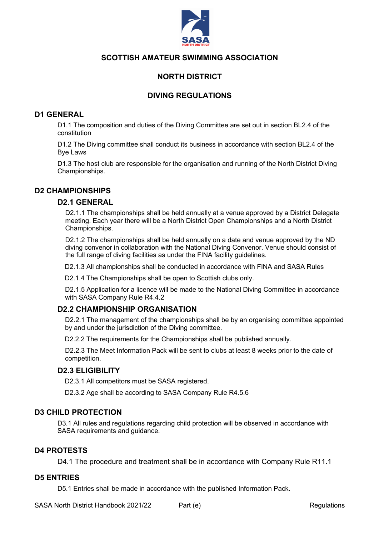

#### **NORTH DISTRICT**

#### **DIVING REGULATIONS**

#### **D1 GENERAL**

D1.1 The composition and duties of the Diving Committee are set out in section BL2.4 of the constitution

D1.2 The Diving committee shall conduct its business in accordance with section BL2.4 of the Bye Laws

D1.3 The host club are responsible for the organisation and running of the North District Diving Championships.

#### **D2 CHAMPIONSHIPS**

#### **D2.1 GENERAL**

D2.1.1 The championships shall be held annually at a venue approved by a District Delegate meeting. Each year there will be a North District Open Championships and a North District Championships.

D2.1.2 The championships shall be held annually on a date and venue approved by the ND diving convenor in collaboration with the National Diving Convenor. Venue should consist of the full range of diving facilities as under the FINA facility guidelines.

D2.1.3 All championships shall be conducted in accordance with FINA and SASA Rules

D2.1.4 The Championships shall be open to Scottish clubs only.

D2.1.5 Application for a licence will be made to the National Diving Committee in accordance with SASA Company Rule R4.4.2

#### **D2.2 CHAMPIONSHIP ORGANISATION**

D2.2.1 The management of the championships shall be by an organising committee appointed by and under the jurisdiction of the Diving committee.

D2.2.2 The requirements for the Championships shall be published annually.

D2.2.3 The Meet Information Pack will be sent to clubs at least 8 weeks prior to the date of competition.

#### **D2.3 ELIGIBILITY**

D2.3.1 All competitors must be SASA registered.

D2.3.2 Age shall be according to SASA Company Rule R4.5.6

#### **D3 CHILD PROTECTION**

D3.1 All rules and regulations regarding child protection will be observed in accordance with SASA requirements and guidance.

#### **D4 PROTESTS**

D4.1 The procedure and treatment shall be in accordance with Company Rule R11.1

#### **D5 ENTRIES**

D5.1 Entries shall be made in accordance with the published Information Pack.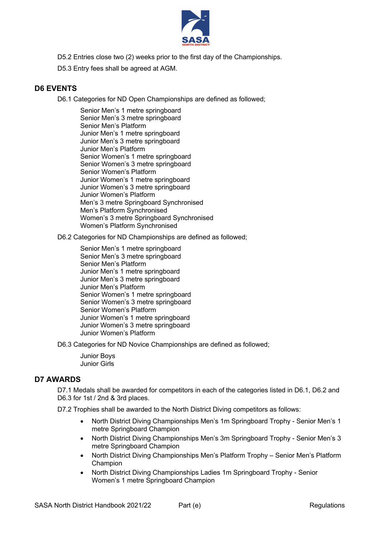

- D5.2 Entries close two (2) weeks prior to the first day of the Championships.
- D5.3 Entry fees shall be agreed at AGM.

#### **D6 EVENTS**

D6.1 Categories for ND Open Championships are defined as followed;

Senior Men's 1 metre springboard Senior Men's 3 metre springboard Senior Men's Platform Junior Men's 1 metre springboard Junior Men's 3 metre springboard Junior Men's Platform Senior Women's 1 metre springboard Senior Women's 3 metre springboard Senior Women's Platform Junior Women's 1 metre springboard Junior Women's 3 metre springboard Junior Women's Platform Men's 3 metre Springboard Synchronised Men's Platform Synchronised Women's 3 metre Springboard Synchronised Women's Platform Synchronised

D6.2 Categories for ND Championships are defined as followed;

Senior Men's 1 metre springboard Senior Men's 3 metre springboard Senior Men's Platform Junior Men's 1 metre springboard Junior Men's 3 metre springboard Junior Men's Platform Senior Women's 1 metre springboard Senior Women's 3 metre springboard Senior Women's Platform Junior Women's 1 metre springboard Junior Women's 3 metre springboard Junior Women's Platform

D6.3 Categories for ND Novice Championships are defined as followed;

Junior Boys Junior Girls

#### **D7 AWARDS**

D7.1 Medals shall be awarded for competitors in each of the categories listed in D6.1, D6.2 and D6.3 for 1st / 2nd & 3rd places.

D7.2 Trophies shall be awarded to the North District Diving competitors as follows:

- North District Diving Championships Men's 1m Springboard Trophy Senior Men's 1 metre Springboard Champion
- North District Diving Championships Men's 3m Springboard Trophy Senior Men's 3 metre Springboard Champion
- North District Diving Championships Men's Platform Trophy Senior Men's Platform Champion
- North District Diving Championships Ladies 1m Springboard Trophy Senior Women's 1 metre Springboard Champion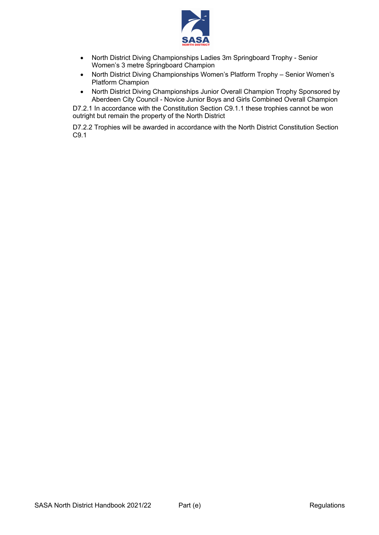

- North District Diving Championships Ladies 3m Springboard Trophy Senior Women's 3 metre Springboard Champion
- North District Diving Championships Women's Platform Trophy Senior Women's Platform Champion
- North District Diving Championships Junior Overall Champion Trophy Sponsored by Aberdeen City Council - Novice Junior Boys and Girls Combined Overall Champion

D7.2.1 In accordance with the Constitution Section C9.1.1 these trophies cannot be won outright but remain the property of the North District

D7.2.2 Trophies will be awarded in accordance with the North District Constitution Section C9.1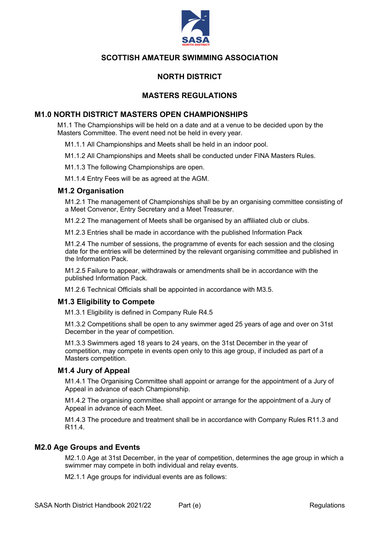

#### **NORTH DISTRICT**

#### **MASTERS REGULATIONS**

#### **M1.0 NORTH DISTRICT MASTERS OPEN CHAMPIONSHIPS**

M1.1 The Championships will be held on a date and at a venue to be decided upon by the Masters Committee. The event need not be held in every year.

M1.1.1 All Championships and Meets shall be held in an indoor pool.

M1.1.2 All Championships and Meets shall be conducted under FINA Masters Rules.

M1.1.3 The following Championships are open.

M1.1.4 Entry Fees will be as agreed at the AGM.

#### **M1.2 Organisation**

M1.2.1 The management of Championships shall be by an organising committee consisting of a Meet Convenor, Entry Secretary and a Meet Treasurer.

M1.2.2 The management of Meets shall be organised by an affiliated club or clubs.

M1.2.3 Entries shall be made in accordance with the published Information Pack

M1.2.4 The number of sessions, the programme of events for each session and the closing date for the entries will be determined by the relevant organising committee and published in the Information Pack.

M1.2.5 Failure to appear, withdrawals or amendments shall be in accordance with the published Information Pack.

M1.2.6 Technical Officials shall be appointed in accordance with M3.5.

#### **M1.3 Eligibility to Compete**

M1.3.1 Eligibility is defined in Company Rule R4.5

M1.3.2 Competitions shall be open to any swimmer aged 25 years of age and over on 31st December in the year of competition.

M1.3.3 Swimmers aged 18 years to 24 years, on the 31st December in the year of competition, may compete in events open only to this age group, if included as part of a Masters competition.

#### **M1.4 Jury of Appeal**

M1.4.1 The Organising Committee shall appoint or arrange for the appointment of a Jury of Appeal in advance of each Championship.

M1.4.2 The organising committee shall appoint or arrange for the appointment of a Jury of Appeal in advance of each Meet.

M1.4.3 The procedure and treatment shall be in accordance with Company Rules R11.3 and R11.4.

#### **M2.0 Age Groups and Events**

M2.1.0 Age at 31st December, in the year of competition, determines the age group in which a swimmer may compete in both individual and relay events.

M2.1.1 Age groups for individual events are as follows: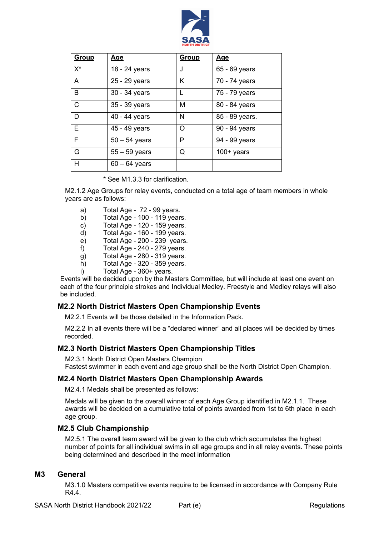

| Group | <u>Age</u>      | <b>Group</b> | <u>Age</u>     |
|-------|-----------------|--------------|----------------|
| $X^*$ | 18 - 24 years   | J            | 65 - 69 years  |
| A     | 25 - 29 years   | K            | 70 - 74 years  |
| B     | 30 - 34 years   |              | 75 - 79 years  |
| C     | 35 - 39 years   | М            | 80 - 84 years  |
| D     | 40 - 44 years   | N            | 85 - 89 years. |
| F     | 45 - 49 years   | $\Omega$     | 90 - 94 years  |
| F     | $50 - 54$ years | P            | 94 - 99 years  |
| G     | $55 - 59$ years | Q            | $100+$ years   |
| Н     | $60 - 64$ years |              |                |

\* See M1.3.3 for clarification.

M2.1.2 Age Groups for relay events, conducted on a total age of team members in whole years are as follows:

- a) Total Age 72 99 years.
- b) Total Age 100 119 years.
- c) Total Age 120 159 years.
- d) Total Age 160 199 years.
- e) Total Age 200 239 years.
- f) Total Age 240 279 years.
- g) Total Age 280 319 years.
- $h$ ) Total Age 320 359 years.
- i) Total Age 360+ years.

Events will be decided upon by the Masters Committee, but will include at least one event on each of the four principle strokes and Individual Medley. Freestyle and Medley relays will also be included.

#### **M2.2 North District Masters Open Championship Events**

M2.2.1 Events will be those detailed in the Information Pack.

M2.2.2 In all events there will be a "declared winner" and all places will be decided by times recorded.

#### **M2.3 North District Masters Open Championship Titles**

M2.3.1 North District Open Masters Champion Fastest swimmer in each event and age group shall be the North District Open Champion.

#### **M2.4 North District Masters Open Championship Awards**

M2.4.1 Medals shall be presented as follows:

Medals will be given to the overall winner of each Age Group identified in M2.1.1. These awards will be decided on a cumulative total of points awarded from 1st to 6th place in each age group.

#### **M2.5 Club Championship**

M2.5.1 The overall team award will be given to the club which accumulates the highest number of points for all individual swims in all age groups and in all relay events. These points being determined and described in the meet information

#### **M3 General**

M3.1.0 Masters competitive events require to be licensed in accordance with Company Rule R4.4.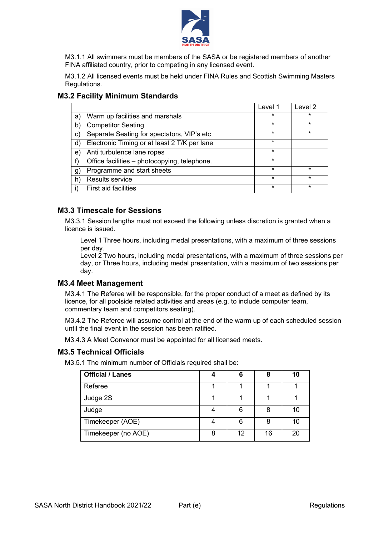

M3.1.1 All swimmers must be members of the SASA or be registered members of another FINA affiliated country, prior to competing in any licensed event.

M3.1.2 All licensed events must be held under FINA Rules and Scottish Swimming Masters Regulations.

| <b>M3.2 Facility Minimum Standards</b> |  |
|----------------------------------------|--|
|----------------------------------------|--|

|    |                                              | Level 1 | Level 2 |
|----|----------------------------------------------|---------|---------|
| a) | Warm up facilities and marshals              | $\star$ | $\star$ |
| b) | <b>Competitor Seating</b>                    | $\star$ | $\star$ |
| C) | Separate Seating for spectators, VIP's etc   | $\star$ | $\star$ |
| d) | Electronic Timing or at least 2 T/K per lane | $\star$ |         |
| e) | Anti turbulence lane ropes                   | $\star$ |         |
|    | Office facilities - photocopying, telephone. | $\star$ |         |
| g) | Programme and start sheets                   | $\star$ | $\star$ |
| h) | Results service                              | $\star$ | $\star$ |
|    | <b>First aid facilities</b>                  | $\star$ | $\star$ |

#### **M3.3 Timescale for Sessions**

M3.3.1 Session lengths must not exceed the following unless discretion is granted when a licence is issued.

Level 1 Three hours, including medal presentations, with a maximum of three sessions per day.

Level 2 Two hours, including medal presentations, with a maximum of three sessions per day, or Three hours, including medal presentation, with a maximum of two sessions per day.

#### **M3.4 Meet Management**

M3.4.1 The Referee will be responsible, for the proper conduct of a meet as defined by its licence, for all poolside related activities and areas (e.g. to include computer team, commentary team and competitors seating).

M3.4.2 The Referee will assume control at the end of the warm up of each scheduled session until the final event in the session has been ratified.

M3.4.3 A Meet Convenor must be appointed for all licensed meets.

#### **M3.5 Technical Officials**

M3.5.1 The minimum number of Officials required shall be:

| <b>Official / Lanes</b> |   | 6  | 8  | 10 |
|-------------------------|---|----|----|----|
| Referee                 |   |    |    |    |
| Judge 2S                |   |    |    |    |
| Judge                   |   | 6  | 8  | 10 |
| Timekeeper (AOE)        |   | 6  | 8  | 10 |
| Timekeeper (no AOE)     | 8 | 12 | 16 | 20 |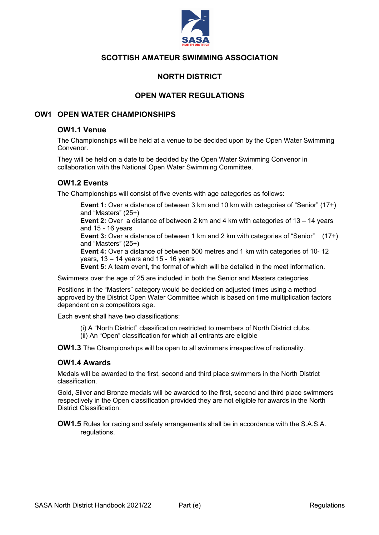

#### **NORTH DISTRICT**

#### **OPEN WATER REGULATIONS**

#### **OW1 OPEN WATER CHAMPIONSHIPS**

#### **OW1.1 Venue**

The Championships will be held at a venue to be decided upon by the Open Water Swimming Convenor.

They will be held on a date to be decided by the Open Water Swimming Convenor in collaboration with the National Open Water Swimming Committee.

#### **OW1.2 Events**

The Championships will consist of five events with age categories as follows:

**Event 1:** Over a distance of between 3 km and 10 km with categories of "Senior" (17+) and "Masters" (25+)

**Event 2:** Over a distance of between 2 km and 4 km with categories of 13 – 14 years and 15 - 16 years

**Event 3:** Over a distance of between 1 km and 2 km with categories of "Senior" (17+) and "Masters" (25+)

**Event 4:** Over a distance of between 500 metres and 1 km with categories of 10- 12 years, 13 – 14 years and 15 - 16 years

**Event 5:** A team event, the format of which will be detailed in the meet information.

Swimmers over the age of 25 are included in both the Senior and Masters categories.

Positions in the "Masters" category would be decided on adjusted times using a method approved by the District Open Water Committee which is based on time multiplication factors dependent on a competitors age.

Each event shall have two classifications:

(i) A "North District" classification restricted to members of North District clubs. (ii) An "Open" classification for which all entrants are eligible

**OW1.3** The Championships will be open to all swimmers irrespective of nationality.

#### **OW1.4 Awards**

Medals will be awarded to the first, second and third place swimmers in the North District classification.

Gold, Silver and Bronze medals will be awarded to the first, second and third place swimmers respectively in the Open classification provided they are not eligible for awards in the North District Classification.

**OW1.5** Rules for racing and safety arrangements shall be in accordance with the S.A.S.A. regulations.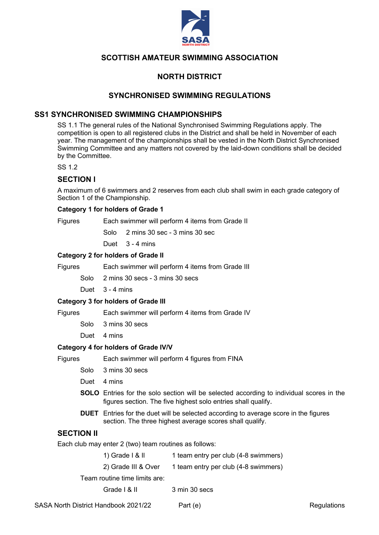

#### **NORTH DISTRICT**

#### **SYNCHRONISED SWIMMING REGULATIONS**

#### **SS1 SYNCHRONISED SWIMMING CHAMPIONSHIPS**

SS 1.1 The general rules of the National Synchronised Swimming Regulations apply. The competition is open to all registered clubs in the District and shall be held in November of each year. The management of the championships shall be vested in the North District Synchronised Swimming Committee and any matters not covered by the laid-down conditions shall be decided by the Committee.

SS 1.2

#### **SECTION l**

A maximum of 6 swimmers and 2 reserves from each club shall swim in each grade category of Section 1 of the Championship.

#### **Category 1 for holders of Grade 1**

Figures Each swimmer will perform 4 items from Grade II

Solo 2 mins 30 sec - 3 mins 30 sec

Duet 3 - 4 mins

#### **Category 2 for holders of Grade II**

Figures Each swimmer will perform 4 items from Grade III

Solo 2 mins 30 secs - 3 mins 30 secs

Duet 3 - 4 mins

#### **Category 3 for holders of Grade III**

Figures Each swimmer will perform 4 items from Grade IV

- Solo 3 mins 30 secs
- Duet 4 mins

#### **Category 4 for holders of Grade IV/V**

Figures Each swimmer will perform 4 figures from FINA

- Solo 3 mins 30 secs
- Duet 4 mins
- **SOLO** Entries for the solo section will be selected according to individual scores in the figures section. The five highest solo entries shall qualify.
- **DUET** Entries for the duet will be selected according to average score in the figures section. The three highest average scores shall qualify.

#### **SECTION II**

Each club may enter 2 (two) team routines as follows:

| 1) Grade $l$ & $ll$ | 1 team entry per club (4-8 swimmers) |
|---------------------|--------------------------------------|
|---------------------|--------------------------------------|

2) Grade III & Over 1 team entry per club (4-8 swimmers)

Team routine time limits are:

Grade | & II 3 min 30 secs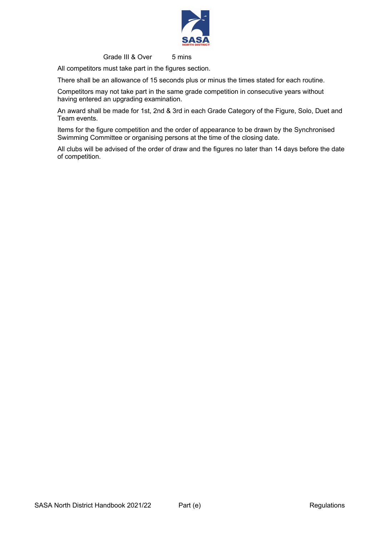

Grade III & Over 5 mins

All competitors must take part in the figures section.

There shall be an allowance of 15 seconds plus or minus the times stated for each routine.

Competitors may not take part in the same grade competition in consecutive years without having entered an upgrading examination.

An award shall be made for 1st, 2nd & 3rd in each Grade Category of the Figure, Solo, Duet and Team events.

Items for the figure competition and the order of appearance to be drawn by the Synchronised Swimming Committee or organising persons at the time of the closing date.

All clubs will be advised of the order of draw and the figures no later than 14 days before the date of competition.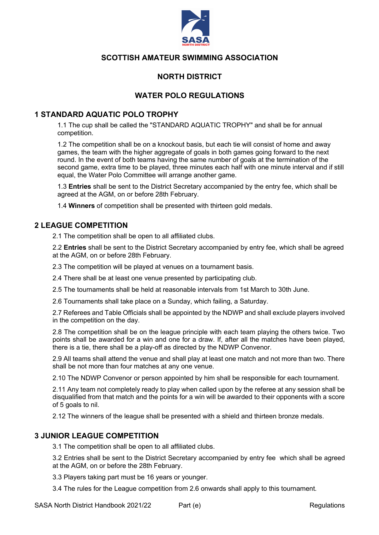

#### **NORTH DISTRICT**

#### **WATER POLO REGULATIONS**

#### **1 STANDARD AQUATIC POLO TROPHY**

1.1 The cup shall be called the "STANDARD AQUATIC TROPHY" and shall be for annual competition.

1.2 The competition shall be on a knockout basis, but each tie will consist of home and away games, the team with the higher aggregate of goals in both games going forward to the next round. In the event of both teams having the same number of goals at the termination of the second game, extra time to be played, three minutes each half with one minute interval and if still equal, the Water Polo Committee will arrange another game.

1.3 **Entries** shall be sent to the District Secretary accompanied by the entry fee, which shall be agreed at the AGM, on or before 28th February.

1.4 **Winners** of competition shall be presented with thirteen gold medals.

#### **2 LEAGUE COMPETITION**

2.1 The competition shall be open to all affiliated clubs.

2.2 **Entries** shall be sent to the District Secretary accompanied by entry fee, which shall be agreed at the AGM, on or before 28th February.

2.3 The competition will be played at venues on a tournament basis.

2.4 There shall be at least one venue presented by participating club.

2.5 The tournaments shall be held at reasonable intervals from 1st March to 30th June.

2.6 Tournaments shall take place on a Sunday, which failing, a Saturday.

2.7 Referees and Table Officials shall be appointed by the NDWP and shall exclude players involved in the competition on the day.

2.8 The competition shall be on the league principle with each team playing the others twice. Two points shall be awarded for a win and one for a draw. If, after all the matches have been played, there is a tie, there shall be a play-off as directed by the NDWP Convenor.

2.9 All teams shall attend the venue and shall play at least one match and not more than two. There shall be not more than four matches at any one venue.

2.10 The NDWP Convenor or person appointed by him shall be responsible for each tournament.

2.11 Any team not completely ready to play when called upon by the referee at any session shall be disqualified from that match and the points for a win will be awarded to their opponents with a score of 5 goals to nil.

2.12 The winners of the league shall be presented with a shield and thirteen bronze medals.

#### **3 JUNIOR LEAGUE COMPETITION**

3.1 The competition shall be open to all affiliated clubs.

3.2 Entries shall be sent to the District Secretary accompanied by entry fee which shall be agreed at the AGM, on or before the 28th February.

3.3 Players taking part must be 16 years or younger.

3.4 The rules for the League competition from 2.6 onwards shall apply to this tournament.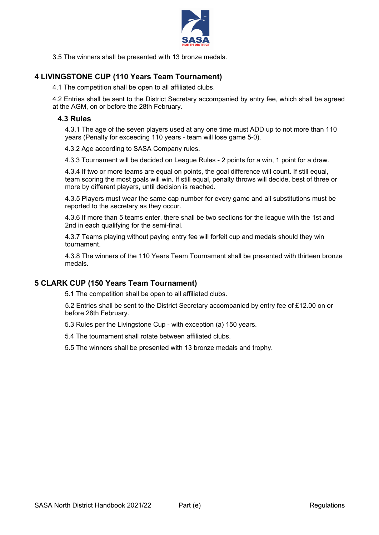

3.5 The winners shall be presented with 13 bronze medals.

#### **4 LIVINGSTONE CUP (110 Years Team Tournament)**

4.1 The competition shall be open to all affiliated clubs.

4.2 Entries shall be sent to the District Secretary accompanied by entry fee, which shall be agreed at the AGM, on or before the 28th February.

#### **4.3 Rules**

4.3.1 The age of the seven players used at any one time must ADD up to not more than 110 years (Penalty for exceeding 110 years - team will lose game 5-0).

4.3.2 Age according to SASA Company rules.

4.3.3 Tournament will be decided on League Rules - 2 points for a win, 1 point for a draw.

4.3.4 If two or more teams are equal on points, the goal difference will count. If still equal, team scoring the most goals will win. If still equal, penalty throws will decide, best of three or more by different players, until decision is reached.

4.3.5 Players must wear the same cap number for every game and all substitutions must be reported to the secretary as they occur.

4.3.6 If more than 5 teams enter, there shall be two sections for the league with the 1st and 2nd in each qualifying for the semi-final.

4.3.7 Teams playing without paying entry fee will forfeit cup and medals should they win tournament.

4.3.8 The winners of the 110 Years Team Tournament shall be presented with thirteen bronze medals.

#### **5 CLARK CUP (150 Years Team Tournament)**

5.1 The competition shall be open to all affiliated clubs.

5.2 Entries shall be sent to the District Secretary accompanied by entry fee of £12.00 on or before 28th February.

5.3 Rules per the Livingstone Cup - with exception (a) 150 years.

5.4 The tournament shall rotate between affiliated clubs.

5.5 The winners shall be presented with 13 bronze medals and trophy.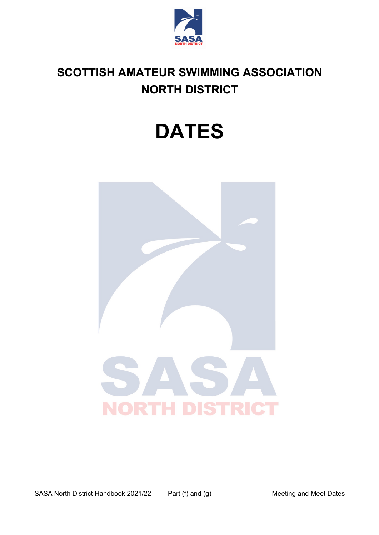

## **SCOTTISH AMATEUR SWIMMING ASSOCIATION NORTH DISTRICT**

# **DATES**

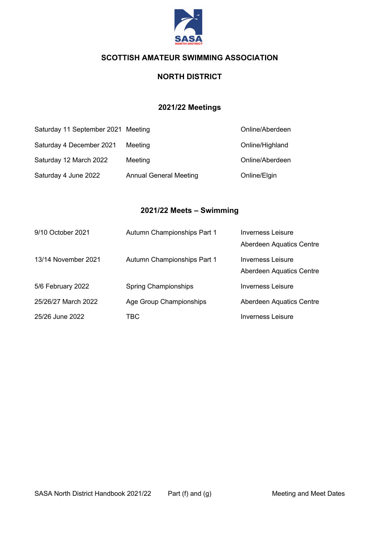

#### **NORTH DISTRICT**

#### **2021/22 Meetings**

| Saturday 11 September 2021 Meeting |                               | Online/Aberdeen |
|------------------------------------|-------------------------------|-----------------|
| Saturday 4 December 2021           | Meeting                       | Online/Highland |
| Saturday 12 March 2022             | Meeting                       | Online/Aberdeen |
| Saturday 4 June 2022               | <b>Annual General Meeting</b> | Online/Elgin    |

#### **2021/22 Meets – Swimming**

| 9/10 October 2021   | Autumn Championships Part 1 | Inverness Leisure<br>Aberdeen Aquatics Centre |
|---------------------|-----------------------------|-----------------------------------------------|
| 13/14 November 2021 | Autumn Championships Part 1 | Inverness Leisure<br>Aberdeen Aquatics Centre |
| 5/6 February 2022   | <b>Spring Championships</b> | <b>Inverness Leisure</b>                      |
| 25/26/27 March 2022 | Age Group Championships     | Aberdeen Aquatics Centre                      |
| 25/26 June 2022     | TBC                         | <b>Inverness Leisure</b>                      |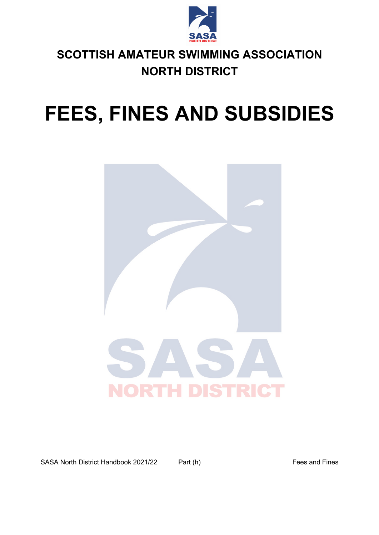

## **SCOTTISH AMATEUR SWIMMING ASSOCIATION NORTH DISTRICT**

# **FEES, FINES AND SUBSIDIES**



SASA North District Handbook 2021/22 Part (h) Fees and Fines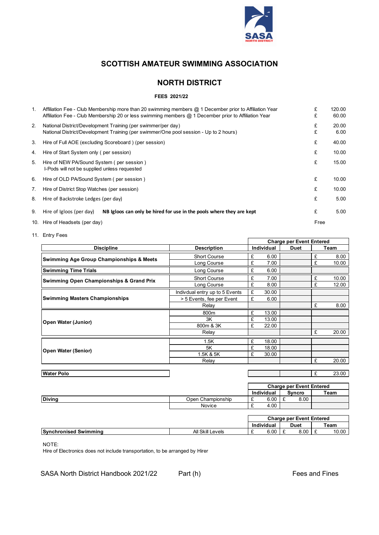

#### **NORTH DISTRICT**

#### **FEES 2021/22**

| 1. | Affiliation Fee - Club Membership more than 20 swimming members @ 1 December prior to Affiliation Year | £    | 120.00 |
|----|--------------------------------------------------------------------------------------------------------|------|--------|
|    | Affiliation Fee - Club Membership 20 or less swimming members @ 1 December prior to Affiliation Year   | £    | 60.00  |
| 2. | National District/Development Training (per swimmer/per day)                                           | £    | 20.00  |
|    | National District/Development Training (per swimmer/One pool session - Up to 2 hours)                  | £    | 6.00   |
| 3. | Hire of Full AOE (excluding Scoreboard) (per session)                                                  | £    | 40.00  |
| 4. | Hire of Start System only (per session)                                                                | £    | 10.00  |
| 5. | Hire of NEW PA/Sound System (per session)                                                              | £    | 15.00  |
|    | I-Pods will not be supplied unless requested                                                           |      |        |
| 6. | Hire of OLD PA/Sound System (per session)                                                              | £    | 10.00  |
| 7. | Hire of District Stop Watches (per session)                                                            | £    | 10.00  |
| 8. | Hire of Backstroke Ledges (per day)                                                                    | £    | 5.00   |
| 9. | NB Igloos can only be hired for use in the pools where they are kept<br>Hire of Igloos (per day)       | £    | 5.00   |
|    | 10. Hire of Headsets (per day)                                                                         | Free |        |

11. Entry Fees

| <b>Charge per Event Entered</b>                     |                                |                   |             |   |       |
|-----------------------------------------------------|--------------------------------|-------------------|-------------|---|-------|
| <b>Discipline</b>                                   | <b>Description</b>             | <b>Individual</b> | <b>Duet</b> |   | Team  |
| <b>Swimming Age Group Championships &amp; Meets</b> | <b>Short Course</b>            | £<br>6.00         |             | £ | 8.00  |
|                                                     | Long Course                    | £<br>7.00         |             | £ | 10.00 |
| <b>Swimming Time Trials</b>                         | Long Course                    | £<br>6.00         |             |   |       |
| <b>Swimming Open Championships &amp; Grand Prix</b> | <b>Short Course</b>            | £<br>7.00         |             | £ | 10.00 |
|                                                     | Long Course                    | £<br>8.00         |             | £ | 12.00 |
|                                                     | Indivdual entry up to 5 Events | £<br>30.00        |             |   |       |
| <b>Swimming Masters Championships</b>               | > 5 Events, fee per Event      | £<br>6.00         |             |   |       |
|                                                     | Relay                          |                   |             | £ | 8.00  |
|                                                     | 800m                           | £<br>13.00        |             |   |       |
| <b>Open Water (Junior)</b>                          | 3K                             | £<br>13.00        |             |   |       |
|                                                     | 800m & 3K                      | £<br>22.00        |             |   |       |
|                                                     | Relay                          |                   |             | £ | 20.00 |
|                                                     | 1.5K                           | £<br>18.00        |             |   |       |
| <b>Open Water (Senior)</b>                          | 5K                             | £<br>18.00        |             |   |       |
|                                                     | 1.5K & 5K                      | £<br>30.00        |             |   |       |
|                                                     | Relay                          |                   |             | £ | 20.00 |
|                                                     |                                |                   |             |   |       |
| Water Polo                                          |                                |                   |             | £ | 23.00 |

|               |                   | <b>Charge per Event Entered</b> |                   |  |        |      |
|---------------|-------------------|---------------------------------|-------------------|--|--------|------|
|               |                   |                                 | <b>Individual</b> |  | Syncro | Team |
| <b>Diving</b> | Open Championship | -                               | 6.00              |  | 8.00   |      |
|               | Novice            | -                               | 4.00              |  |        |      |

|                              |                  |   | <b>Charge per Event Entered</b> |  |      |  |       |
|------------------------------|------------------|---|---------------------------------|--|------|--|-------|
|                              |                  |   | Individual                      |  | Duet |  | Team  |
| <b>Synchronised Swimming</b> | All Skill Levels | - | 6.00                            |  | 8.00 |  | 10.00 |

NOTE:

Hire of Electronics does not include transportation, to be arranged by Hirer

SASA North District Handbook 2021/22 Part (h) Fees and Fines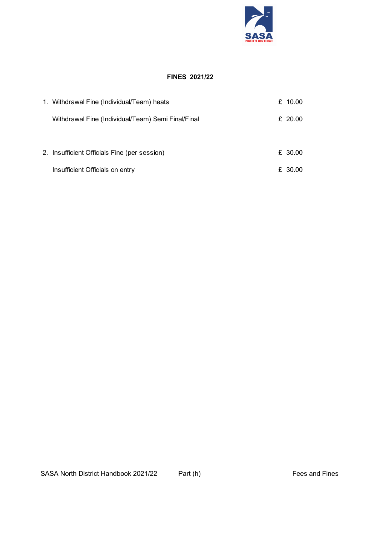

#### **FINES 2021/22**

| 1. Withdrawal Fine (Individual/Team) heats         | £ $10.00$ |
|----------------------------------------------------|-----------|
| Withdrawal Fine (Individual/Team) Semi Final/Final | £ 20.00   |
|                                                    |           |
| 2. Insufficient Officials Fine (per session)       | £ 30.00   |
| Insufficient Officials on entry                    | £ 30.00   |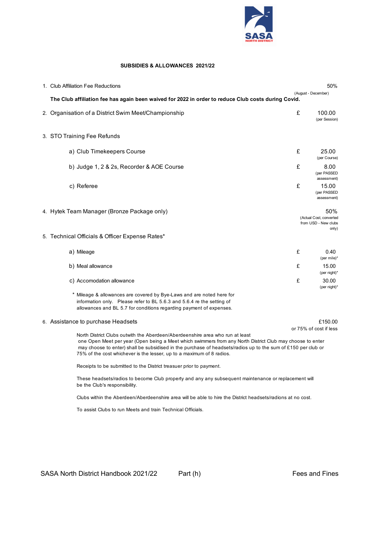

#### **SUBSIDIES & ALLOWANCES 2021/22**

| 1. Club Affiliation Fee Reductions                                                                                                                                                                                                                                                                                                                                                   |   | 50%                                                             |
|--------------------------------------------------------------------------------------------------------------------------------------------------------------------------------------------------------------------------------------------------------------------------------------------------------------------------------------------------------------------------------------|---|-----------------------------------------------------------------|
| The Club affiliation fee has again been waived for 2022 in order to reduce Club costs during Covid.                                                                                                                                                                                                                                                                                  |   | (August - December)                                             |
| 2. Organisation of a District Swim Meet/Championship                                                                                                                                                                                                                                                                                                                                 | £ | 100.00<br>(per Session)                                         |
| 3. STO Training Fee Refunds                                                                                                                                                                                                                                                                                                                                                          |   |                                                                 |
| a) Club Timekeepers Course                                                                                                                                                                                                                                                                                                                                                           | £ | 25.00<br>(per Course)                                           |
| b) Judge 1, 2 & 2s, Recorder & AOE Course                                                                                                                                                                                                                                                                                                                                            | £ | 8.00<br>(per PASSED<br>assessment)                              |
| c) Referee                                                                                                                                                                                                                                                                                                                                                                           | £ | 15.00<br>(per PASSED<br>assessment)                             |
| 4. Hytek Team Manager (Bronze Package only)                                                                                                                                                                                                                                                                                                                                          |   | 50%<br>(Actual Cost, converted<br>from USD - New clubs<br>only) |
| 5. Technical Officials & Officer Expense Rates*                                                                                                                                                                                                                                                                                                                                      |   |                                                                 |
| a) Mileage                                                                                                                                                                                                                                                                                                                                                                           | £ | 0.40<br>(per mile)*                                             |
| b) Meal allowance                                                                                                                                                                                                                                                                                                                                                                    | £ | 15.00<br>(per night)*                                           |
| c) Accomodation allowance                                                                                                                                                                                                                                                                                                                                                            | £ | 30.00<br>(per night)*                                           |
| * Mileage & allowances are covered by Bye-Laws and are noted here for<br>information only. Please refer to BL 5.6.3 and 5.6.4 re the setting of<br>allowances and BL 5.7 for conditions regarding payment of expenses.                                                                                                                                                               |   |                                                                 |
| 6. Assistance to purchase Headsets                                                                                                                                                                                                                                                                                                                                                   |   | £150.00<br>or 75% of cost if less                               |
| North District Clubs outwith the Aberdeen/Aberdeenshire area who run at least<br>one Open Meet per year (Open being a Meet which swimmers from any North District Club may choose to enter<br>may choose to enter) shall be subsidised in the purchase of headsets/radios up to the sum of £150 per club or<br>75% of the cost whichever is the lesser, up to a maximum of 8 radios. |   |                                                                 |
| Receipts to be submitted to the District treasuer prior to payment.                                                                                                                                                                                                                                                                                                                  |   |                                                                 |
| These headsets/radios to become Club property and any any subsequent maintenance or replacement will<br>be the Club's responsibility.                                                                                                                                                                                                                                                |   |                                                                 |

Clubs within the Aberdeen/Aberdeenshire area will be able to hire the District headsets/radions at no cost.

To assist Clubs to run Meets and train Technical Officials.